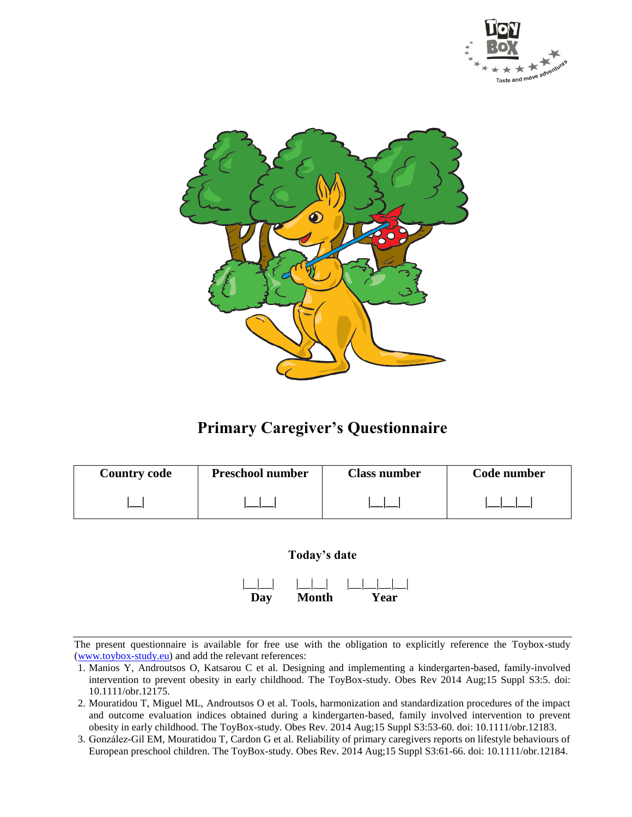



# **Primary Caregiver's Questionnaire**

| <b>Country code</b> | <b>Preschool number</b> | <b>Class number</b> | Code number |
|---------------------|-------------------------|---------------------|-------------|
|                     |                         |                     |             |



- 1. Manios Y, Androutsos O, Katsarou C et al. Designing and implementing a kindergarten-based, family-involved intervention to prevent obesity in early childhood. The ToyBox-study. Obes Rev 2014 Aug;15 Suppl S3:5. doi: 10.1111/obr.12175.
- 2. Mouratidou T, Miguel ML, Androutsos O et al. Tools, harmonization and standardization procedures of the impact and outcome evaluation indices obtained during a kindergarten-based, family involved intervention to prevent obesity in early childhood. The ToyBox-study. Obes Rev. 2014 Aug;15 Suppl S3:53-60. doi: 10.1111/obr.12183.
- 3. González-Gil EM, Mouratidou T, Cardon G et al. Reliability of primary caregivers reports on lifestyle behaviours of European preschool children. The ToyBox-study. Obes Rev. 2014 Aug;15 Suppl S3:61-66. doi: 10.1111/obr.12184.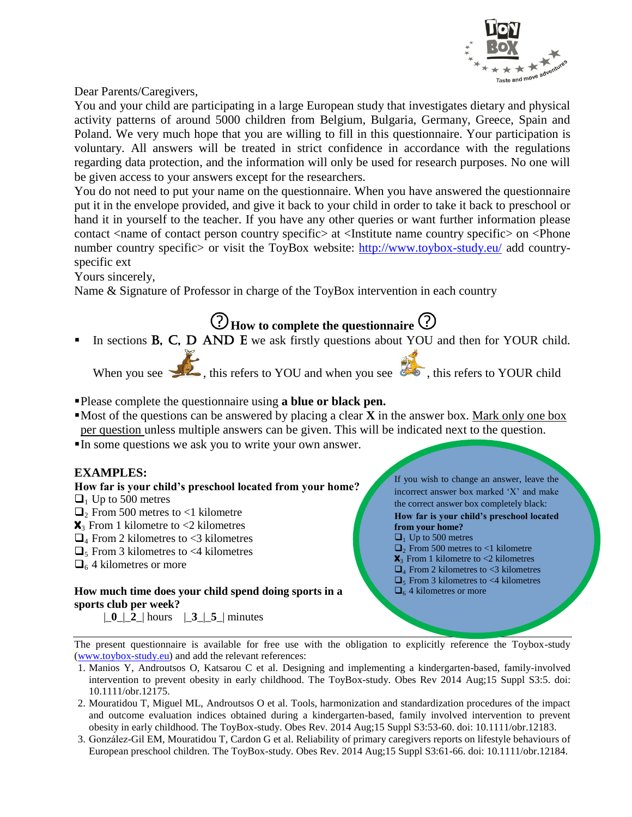

Dear Parents/Caregivers,

You and your child are participating in a large European study that investigates dietary and physical activity patterns of around 5000 children from Belgium, Bulgaria, Germany, Greece, Spain and Poland. We very much hope that you are willing to fill in this questionnaire. Your participation is voluntary. All answers will be treated in strict confidence in accordance with the regulations regarding data protection, and the information will only be used for research purposes. No one will be given access to your answers except for the researchers.

You do not need to put your name on the questionnaire. When you have answered the questionnaire put it in the envelope provided, and give it back to your child in order to take it back to preschool or hand it in yourself to the teacher. If you have any other queries or want further information please contact <name of contact person country specific> at <Institute name country specific> on <Phone number country specific or visit the ToyBox website: <http://www.toybox-study.eu/> add countryspecific ext

Yours sincerely,

Name & Signature of Professor in charge of the ToyBox intervention in each country

**How to complete the questionnaire** In sections **B**, C, D AND E we ask firstly questions about YOU and then for YOUR child.

When you see  $\bullet$ , this refers to YOU and when you see  $\bullet$ , this refers to YOUR child

- Please complete the questionnaire using **a blue or black pen.**
- $\blacksquare$ Most of the questions can be answered by placing a clear **X** in the answer box. Mark only one box per question unless multiple answers can be given. This will be indicated next to the question.
- In some questions we ask you to write your own answer.

#### **EXAMPLES:**

### **How far is your child's preschool located from your home?**

- $\Box$ <sub>1</sub> Up to 500 metres
- $\Box$ <sub>2</sub> From 500 metres to <1 kilometre
- $\mathbf{X}_3$  From 1 kilometre to <2 kilometres
- $\Box$ <sub>4</sub> From 2 kilometres to <3 kilometres
- $\Box$ <sub>5</sub> From 3 kilometres to <4 kilometres
- $\Box$ <sub>6</sub> 4 kilometres or more

#### **How much time does your child spend doing sports in a sports club per week?**

|\_**0**\_|\_**2**\_| hours |\_**3**\_|\_**5**\_| minutes

If you wish to change an answer, leave the incorrect answer box marked 'X' and make the correct answer box completely black: **How far is your child's preschool located from your home?**

- $\Box$ <sub>1</sub> Up to 500 metres
- $\Box$ <sub>2</sub> From 500 metres to <1 kilometre
- $\mathbf{X}_3$  From 1 kilometre to  $\leq$  2 kilometres
- $\Box$  From 2 kilometres to <3 kilometres
- $\Box$ <sub>5</sub> From 3 kilometres to <4 kilometres
- $\Box$ <sub>6</sub> 4 kilometres or more

- 1. Manios Y, Androutsos O, Katsarou C et al. Designing and implementing a kindergarten-based, family-involved intervention to prevent obesity in early childhood. The ToyBox-study. Obes Rev 2014 Aug;15 Suppl S3:5. doi: 10.1111/obr.12175.
- 2. Mouratidou T, Miguel ML, Androutsos O et al. Tools, harmonization and standardization procedures of the impact and outcome evaluation indices obtained during a kindergarten-based, family involved intervention to prevent obesity in early childhood. The ToyBox-study. Obes Rev. 2014 Aug;15 Suppl S3:53-60. doi: 10.1111/obr.12183.
- 3. González-Gil EM, Mouratidou T, Cardon G et al. Reliability of primary caregivers reports on lifestyle behaviours of European preschool children. The ToyBox-study. Obes Rev. 2014 Aug;15 Suppl S3:61-66. doi: 10.1111/obr.12184.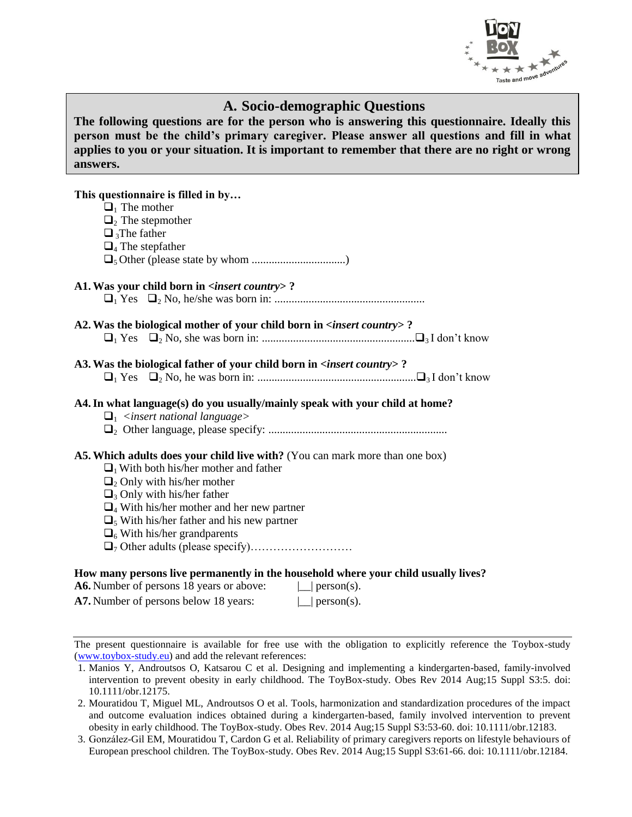

### **A. Socio-demographic Questions**

**The following questions are for the person who is answering this questionnaire. Ideally this person must be the child's primary caregiver. Please answer all questions and fill in what applies to you or your situation. It is important to remember that there are no right or wrong answers.** 

### **This questionnaire is filled in by…**  $\Box$ <sub>1</sub> The mother  $\Box$ <sub>2</sub> The stepmother  $\Box$ <sub>3</sub>The father  $\Box$ <sub>4</sub> The stepfather 5 Other (please state by whom .................................) **A1.Was your child born in <***insert country***> ?** <sup>1</sup> Yes <sup>2</sup> No, he/she was born in: ..................................................... **A2.Was the biological mother of your child born in <***insert country***> ?** <sup>1</sup> Yes <sup>2</sup> No, she was born in: ......................................................3 I don't know **A3.Was the biological father of your child born in <***insert country***> ?** <sup>1</sup> Yes <sup>2</sup> No, he was born in: ........................................................3 I don't know **A4.In what language(s) do you usually/mainly speak with your child at home?** <sup>1</sup> *<insert national language>* 2 Other language, please specify: ............................................................... **A5.Which adults does your child live with?** (You can mark more than one box)  $\Box$ <sub>1</sub> With both his/her mother and father  $\Box$ , Only with his/her mother  $\Box$ 3 Only with his/her father  $\Box_4$  With his/her mother and her new partner  $\Box$ <sub>5</sub> With his/her father and his new partner  $\Box$ <sub>6</sub> With his/her grandparents <sup>7</sup> Other adults (please specify)……………………… **How many persons live permanently in the household where your child usually lives?** A6. Number of persons 18 years or above:  $\Box$  person(s). A7. Number of persons below 18 years:  $\Box$  person(s).

<sup>1.</sup> Manios Y, Androutsos O, Katsarou C et al. Designing and implementing a kindergarten-based, family-involved intervention to prevent obesity in early childhood. The ToyBox-study. Obes Rev 2014 Aug;15 Suppl S3:5. doi: 10.1111/obr.12175.

<sup>2.</sup> Mouratidou T, Miguel ML, Androutsos O et al. Tools, harmonization and standardization procedures of the impact and outcome evaluation indices obtained during a kindergarten-based, family involved intervention to prevent obesity in early childhood. The ToyBox-study. Obes Rev. 2014 Aug;15 Suppl S3:53-60. doi: 10.1111/obr.12183.

<sup>3.</sup> González-Gil EM, Mouratidou T, Cardon G et al. Reliability of primary caregivers reports on lifestyle behaviours of European preschool children. The ToyBox-study. Obes Rev. 2014 Aug;15 Suppl S3:61-66. doi: 10.1111/obr.12184.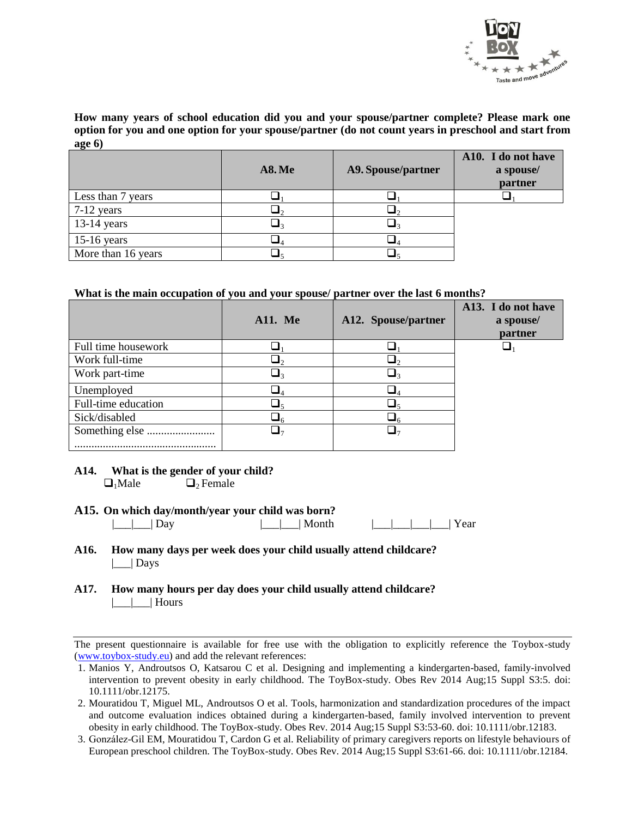

**How many years of school education did you and your spouse/partner complete? Please mark one option for you and one option for your spouse/partner (do not count years in preschool and start from age 6)**

|                    | <b>A8. Me</b> | A9. Spouse/partner | A10. I do not have<br>a spouse/<br>partner |
|--------------------|---------------|--------------------|--------------------------------------------|
| Less than 7 years  |               |                    |                                            |
| $7-12$ years       |               |                    |                                            |
| $13-14$ years      |               |                    |                                            |
| $15-16$ years      |               |                    |                                            |
| More than 16 years |               |                    |                                            |

#### **What is the main occupation of you and your spouse/ partner over the last 6 months?**

|                     | <b>A11.</b> Me | A12. Spouse/partner | A13. I do not have<br>a spouse/<br>partner |
|---------------------|----------------|---------------------|--------------------------------------------|
| Full time housework |                |                     |                                            |
| Work full-time      |                |                     |                                            |
| Work part-time      |                |                     |                                            |
| Unemployed          | - 4            | ┛⊿                  |                                            |
| Full-time education |                |                     |                                            |
| Sick/disabled       |                | ءك                  |                                            |
|                     |                |                     |                                            |
|                     |                |                     |                                            |

#### **A14. What is the gender of your child?**

 $\Box_1$ Male  $\Box_2$  Female

#### **A15. On which day/month/year your child was born?**

|\_\_\_|\_\_\_| Day |\_\_\_|\_\_\_| Month |\_\_\_|\_\_\_|\_\_\_|\_\_\_| Year

- **A16. How many days per week does your child usually attend childcare?**  $\vert$   $\vert$  Days
- **A17. How many hours per day does your child usually attend childcare?** |\_\_\_|\_\_\_| Hours

<sup>1.</sup> Manios Y, Androutsos O, Katsarou C et al. Designing and implementing a kindergarten-based, family-involved intervention to prevent obesity in early childhood. The ToyBox-study. Obes Rev 2014 Aug;15 Suppl S3:5. doi: 10.1111/obr.12175.

<sup>2.</sup> Mouratidou T, Miguel ML, Androutsos O et al. Tools, harmonization and standardization procedures of the impact and outcome evaluation indices obtained during a kindergarten-based, family involved intervention to prevent obesity in early childhood. The ToyBox-study. Obes Rev. 2014 Aug;15 Suppl S3:53-60. doi: 10.1111/obr.12183.

<sup>3.</sup> González-Gil EM, Mouratidou T, Cardon G et al. Reliability of primary caregivers reports on lifestyle behaviours of European preschool children. The ToyBox-study. Obes Rev. 2014 Aug;15 Suppl S3:61-66. doi: 10.1111/obr.12184.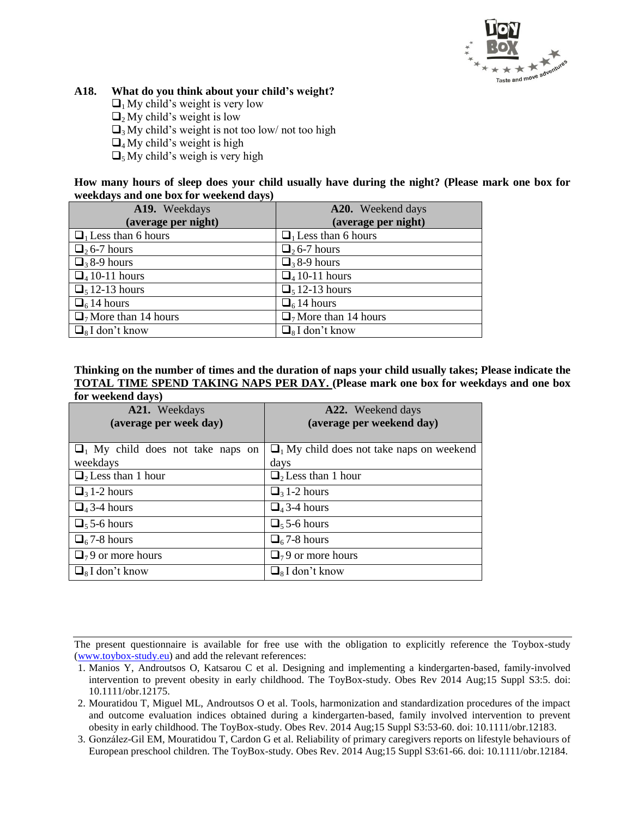

#### **A18. What do you think about your child's weight?**

- $\Box$ <sub>1</sub> My child's weight is very low
- $\Box$ <sub>2</sub> My child's weight is low
- $\Box$ <sub>3</sub> My child's weight is not too low/ not too high
- $\Box_4$  My child's weight is high
- $\Box_5$  My child's weigh is very high

**How many hours of sleep does your child usually have during the night? (Please mark one box for weekdays and one box for weekend days)**

| A19. Weekdays                          | A20. Weekend days                      |
|----------------------------------------|----------------------------------------|
| (average per night)                    | (average per night)                    |
| $\Box$ <sub>1</sub> Less than 6 hours  | $\Box$ <sub>1</sub> Less than 6 hours  |
| $\Box$ <sub>2</sub> 6-7 hours          | $\Box$ , 6-7 hours                     |
| $\Box$ <sub>3</sub> 8-9 hours          | $\Box$ 38-9 hours                      |
| $\Box$ 4 10-11 hours                   | $\Box$ 4 10-11 hours                   |
| $\Box$ <sub>5</sub> 12-13 hours        | $\Box$ <sub>5</sub> 12-13 hours        |
| $\Box$ <sub>6</sub> 14 hours           | $\Box$ <sub>6</sub> 14 hours           |
| $\Box$ <sub>7</sub> More than 14 hours | $\Box$ <sub>7</sub> More than 14 hours |
| $\Box_8$ I don't know                  | $\Box_8$ I don't know                  |

### **Thinking on the number of times and the duration of naps your child usually takes; Please indicate the TOTAL TIME SPEND TAKING NAPS PER DAY. (Please mark one box for weekdays and one box**

| for weekend days)                     |                                                            |
|---------------------------------------|------------------------------------------------------------|
| A21. Weekdays                         | A22. Weekend days                                          |
| (average per week day)                | (average per weekend day)                                  |
|                                       |                                                            |
| $\Box$ My child does not take naps on | $\Box$ <sub>1</sub> My child does not take naps on weekend |
| weekdays                              | days                                                       |
| $\Box$ <sub>2</sub> Less than 1 hour  | $\Box$ <sub>2</sub> Less than 1 hour                       |
| $\Box$ <sub>3</sub> 1-2 hours         | $\Box$ <sub>3</sub> 1-2 hours                              |
| $\Box$ <sub>4</sub> 3-4 hours         | $\Box$ <sub>4</sub> 3-4 hours                              |
| $\Box$ <sub>5</sub> 5-6 hours         | $\Box$ <sub>5</sub> 5-6 hours                              |
| $\Box$ <sub>6</sub> 7-8 hours         | $\Box$ <sub>6</sub> 7-8 hours                              |
| $\Box$ <sub>7</sub> 9 or more hours   | $\Box$ <sub>7</sub> 9 or more hours                        |
| $\Box_8$ I don't know                 | $\Box$ <sub>s</sub> I don't know                           |

- 1. Manios Y, Androutsos O, Katsarou C et al. Designing and implementing a kindergarten-based, family-involved intervention to prevent obesity in early childhood. The ToyBox-study. Obes Rev 2014 Aug;15 Suppl S3:5. doi: 10.1111/obr.12175.
- 2. Mouratidou T, Miguel ML, Androutsos O et al. Tools, harmonization and standardization procedures of the impact and outcome evaluation indices obtained during a kindergarten-based, family involved intervention to prevent obesity in early childhood. The ToyBox-study. Obes Rev. 2014 Aug;15 Suppl S3:53-60. doi: 10.1111/obr.12183.
- 3. González-Gil EM, Mouratidou T, Cardon G et al. Reliability of primary caregivers reports on lifestyle behaviours of European preschool children. The ToyBox-study. Obes Rev. 2014 Aug;15 Suppl S3:61-66. doi: 10.1111/obr.12184.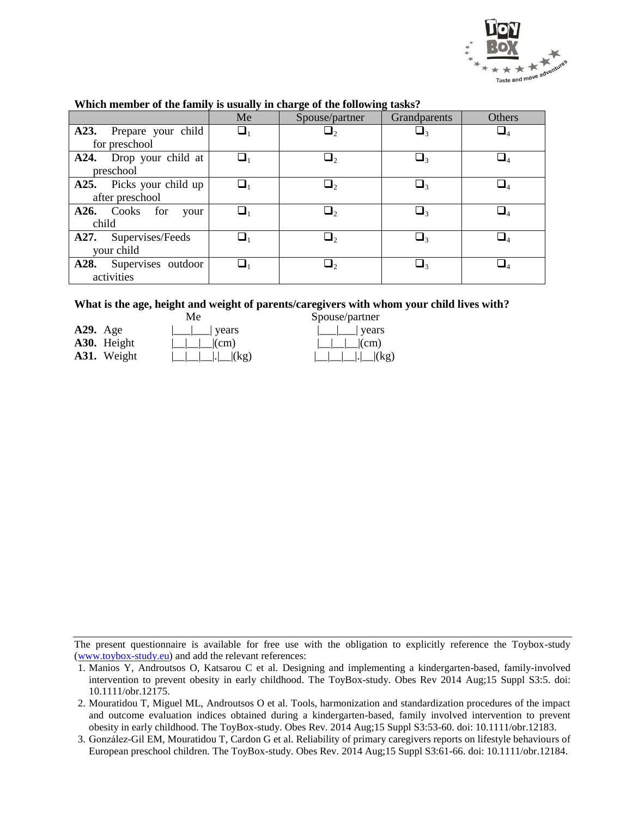

|                            | Me       | Spouse/partner | Grandparents          | <b>Others</b> |
|----------------------------|----------|----------------|-----------------------|---------------|
| A23. Prepare your child    | $\Box_1$ |                | $\sqcup_{\textsf{3}}$ |               |
| for preschool              |          |                |                       |               |
| A24. Drop your child at    | a,       |                | $\Box_3$              | $\Box_4$      |
| preschool                  |          |                |                       |               |
| A25. Picks your child up   | $\Box_1$ | ᆸ,             | $\Box_3$              | $\Box_4$      |
| after preschool            |          |                |                       |               |
| A26. Cooks for<br>your     | ❏1       | پ ا            | $\Box_3$              |               |
| child                      |          |                |                       |               |
| A27. Supervises/Feeds      |          |                | $\sqcup$ :            |               |
| your child                 |          |                |                       |               |
| Supervises outdoor<br>A28. | $\Box_1$ |                | $\sqcup$ 3            |               |
| activities                 |          |                |                       |               |

#### **Which member of the family is usually in charge of the following tasks?**

#### **What is the age, height and weight of parents/caregivers with whom your child lives with?**

|             | Мe                                                               | Spouse/partner                                           |
|-------------|------------------------------------------------------------------|----------------------------------------------------------|
| $A29.$ Age  | $\lfloor$ $\lfloor$ years                                        | $\lfloor \underline{\qquad} \rfloor$ years               |
| A30. Height | $\lfloor \lfloor \lfloor m \rfloor \rfloor \lfloor (cm) \rfloor$ | $\lfloor \lfloor \lfloor m \rfloor \rfloor \rfloor$ (cm) |
| A31. Weight |                                                                  | $ \_\_\_\_\_\ $ . $ \_\_\ $ (kg)                         |

| Spouse/partner |
|----------------|
| vears          |
| $\lfloor$ (cm) |
| $ . $ $(kg)$   |

<sup>1.</sup> Manios Y, Androutsos O, Katsarou C et al. Designing and implementing a kindergarten-based, family-involved intervention to prevent obesity in early childhood. The ToyBox-study. Obes Rev 2014 Aug;15 Suppl S3:5. doi: 10.1111/obr.12175.

<sup>2.</sup> Mouratidou T, Miguel ML, Androutsos O et al. Tools, harmonization and standardization procedures of the impact and outcome evaluation indices obtained during a kindergarten-based, family involved intervention to prevent obesity in early childhood. The ToyBox-study. Obes Rev. 2014 Aug;15 Suppl S3:53-60. doi: 10.1111/obr.12183.

<sup>3.</sup> González-Gil EM, Mouratidou T, Cardon G et al. Reliability of primary caregivers reports on lifestyle behaviours of European preschool children. The ToyBox-study. Obes Rev. 2014 Aug;15 Suppl S3:61-66. doi: 10.1111/obr.12184.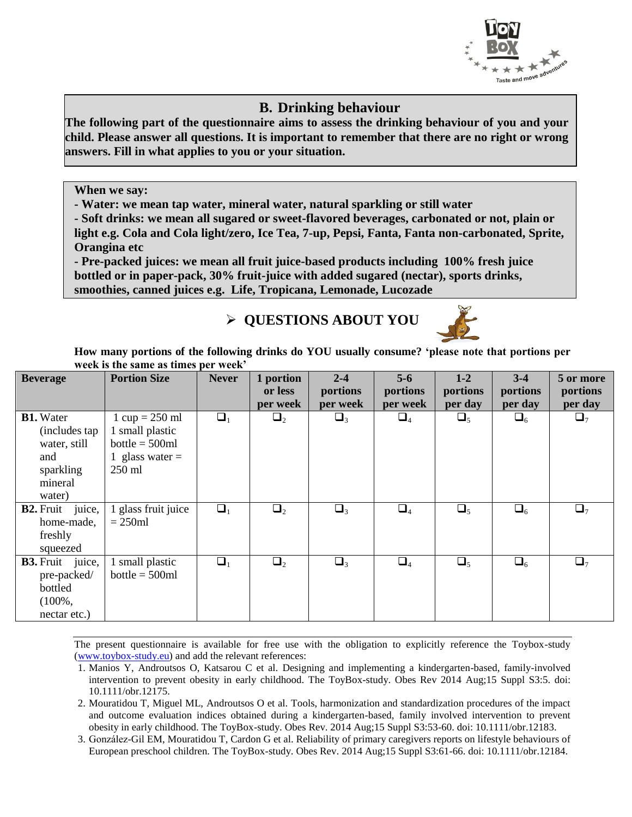

### **B. Drinking behaviour**

**The following part of the questionnaire aims to assess the drinking behaviour of you and your child. Please answer all questions. It is important to remember that there are no right or wrong answers. Fill in what applies to you or your situation.**

**When we say:**

**- Water: we mean tap water, mineral water, natural sparkling or still water**

**- Soft drinks: we mean all sugared or sweet-flavored beverages, carbonated or not, plain or light e.g. Cola and Cola light/zero, Ice Tea, 7-up, Pepsi, Fanta, Fanta non-carbonated, Sprite, Orangina etc**

**- Pre-packed juices: we mean all fruit juice-based products including 100% fresh juice bottled or in paper-pack, 30% fruit-juice with added sugared (nectar), sports drinks, smoothies, canned juices e.g. Life, Tropicana, Lemonade, Lucozade**

# **QUESTIONS ABOUT YOU**



**How many portions of the following drinks do YOU usually consume? 'please note that portions per week is the same as times per week'**

| <b>Beverage</b>                                                                             | <b>Portion Size</b>                                                                                    | <b>Never</b> | 1 portion<br>or less | $2 - 4$<br>portions | $5-6$<br>portions | $1-2$<br>portions | $3 - 4$<br>portions | 5 or more<br>portions |
|---------------------------------------------------------------------------------------------|--------------------------------------------------------------------------------------------------------|--------------|----------------------|---------------------|-------------------|-------------------|---------------------|-----------------------|
|                                                                                             |                                                                                                        |              | per week             | per week            | per week          | per day           | per day             | per day               |
| <b>B1.</b> Water<br>(includes tap)<br>water, still<br>and<br>sparkling<br>mineral<br>water) | $1 \text{ cup} = 250 \text{ ml}$<br>1 small plastic<br>$bottle = 500ml$<br>1 glass water $=$<br>250 ml | $\Box_1$     | $\Box_2$             | $\Box_3$            | $\Box_4$          | $\Box_5$          | $\square_6$         | $\Box_7$              |
| <b>B2.</b> Fruit juice,<br>home-made,<br>freshly<br>squeezed                                | 1 glass fruit juice<br>$= 250ml$                                                                       | $\Box_1$     | $\Box_2$             | $\Box_3$            | $\Box_4$          | $\Box_5$          | $\Box_6$            | $\Box$ <sub>7</sub>   |
| <b>B3.</b> Fruit juice,<br>pre-packed/<br>bottled<br>$(100\%,$<br>nectar etc.)              | 1 small plastic<br>$bottle = 500ml$                                                                    | $\Box_1$     | $\Box_2$             | $\Box_3$            | $\Box_4$          | $\Box_5$          | $\Box_6$            | $\Box$ <sub>7</sub>   |

- 1. Manios Y, Androutsos O, Katsarou C et al. Designing and implementing a kindergarten-based, family-involved intervention to prevent obesity in early childhood. The ToyBox-study. Obes Rev 2014 Aug;15 Suppl S3:5. doi: 10.1111/obr.12175.
- 2. Mouratidou T, Miguel ML, Androutsos O et al. Tools, harmonization and standardization procedures of the impact and outcome evaluation indices obtained during a kindergarten-based, family involved intervention to prevent obesity in early childhood. The ToyBox-study. Obes Rev. 2014 Aug;15 Suppl S3:53-60. doi: 10.1111/obr.12183.
- 3. González-Gil EM, Mouratidou T, Cardon G et al. Reliability of primary caregivers reports on lifestyle behaviours of European preschool children. The ToyBox-study. Obes Rev. 2014 Aug;15 Suppl S3:61-66. doi: 10.1111/obr.12184.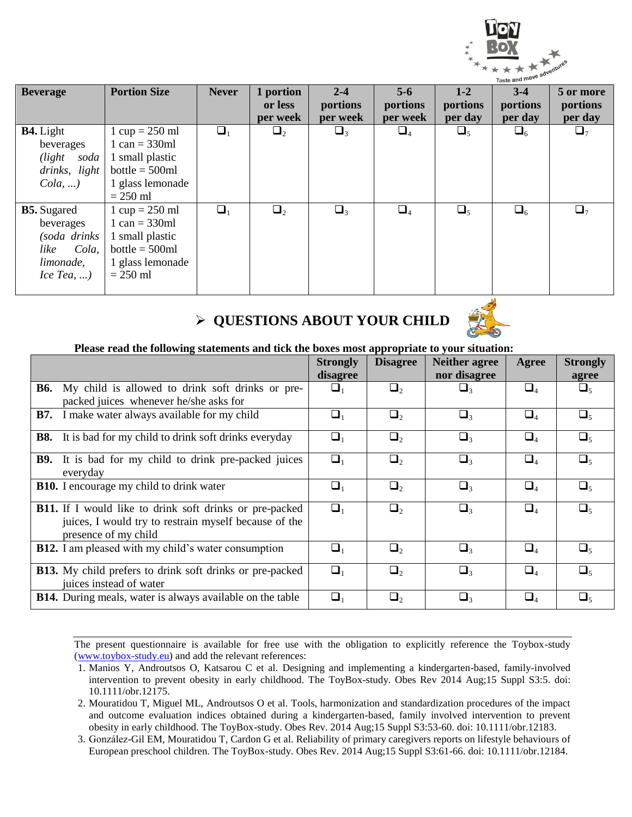

| <b>Beverage</b>                                                                              | <b>Portion Size</b>                                                                                                                          | <b>Never</b> | 1 portion<br>or less<br>per week | $2 - 4$<br>portions<br>per week | $5 - 6$<br>portions<br>per week | $1-2$<br>portions<br>per day | $3 - 4$<br>portions<br>per day | 5 or more<br>portions<br>per day |
|----------------------------------------------------------------------------------------------|----------------------------------------------------------------------------------------------------------------------------------------------|--------------|----------------------------------|---------------------------------|---------------------------------|------------------------------|--------------------------------|----------------------------------|
| <b>B4.</b> Light<br>beverages<br>$\ell$ <i>light</i> soda<br>drinks, light<br>$Cola, \ldots$ | $1 \text{ cup} = 250 \text{ ml}$<br>$1 \text{ can} = 330 \text{ml}$<br>1 small plastic<br>$bottle = 500ml$<br>1 glass lemonade<br>$= 250$ ml | $\Box_1$     | $\Box_2$                         | $\Box_3$                        | $\Box_4$                        | $\Box_5$                     | $\Box_6$                       | $\Box_7$                         |
| <b>B5.</b> Sugared<br>beverages<br>(soda drinks<br>Cola,<br>like<br>limonade,<br>$IceTea$ ,  | $1 \text{ cup} = 250 \text{ ml}$<br>$1 \text{ can} = 330 \text{ml}$<br>1 small plastic<br>$bottle = 500ml$<br>1 glass lemonade<br>$= 250$ ml | $\Box_1$     | $\Box$ ,                         | $\Box_3$                        | $\Box_4$                        | $\Box_5$                     | $\Box_6$                       | $\Box_7$                         |

# **QUESTIONS ABOUT YOUR CHILD**



#### **Please read the following statements and tick the boxes most appropriate to your situation:**

|                                                                                                                                                 | <b>Strongly</b><br>disagree | <b>Disagree</b> | <b>Neither agree</b><br>nor disagree | Agree                                     | <b>Strongly</b><br>agree |
|-------------------------------------------------------------------------------------------------------------------------------------------------|-----------------------------|-----------------|--------------------------------------|-------------------------------------------|--------------------------|
| My child is allowed to drink soft drinks or pre-<br><b>B6.</b><br>packed juices whenever he/she asks for                                        | $\Box_1$                    | $\Box_2$        | $\Box_3$                             | $\Box_4$                                  | $\Box_5$                 |
| I make water always available for my child<br><b>B7.</b>                                                                                        | $\Box_1$                    | $\Box$          | $\Box_3$                             | $\square_4$                               | $\Box$                   |
| It is bad for my child to drink soft drinks everyday<br><b>B8.</b>                                                                              | $\Box_1$                    | $\Box$          | $\Box_3$                             | $\square_4$                               | $\Box_{5}$               |
| <b>B9.</b> It is bad for my child to drink pre-packed juices<br>everyday                                                                        | $\Box_1$                    | $\Box$          | $\Box_3$                             | $\Box_4$                                  | $\Box_{5}$               |
| <b>B10.</b> I encourage my child to drink water                                                                                                 | $\Box_1$                    | $\Box$ ,        | $\Box$ <sub>3</sub>                  | $\square_{\scriptscriptstyle\varDelta}$   | $\Box$                   |
| <b>B11.</b> If I would like to drink soft drinks or pre-packed<br>juices, I would try to restrain myself because of the<br>presence of my child | $\Box_1$                    | $\Box$          | $\Box_3$                             | $\square_4$                               | $\Box$                   |
| <b>B12.</b> I am pleased with my child's water consumption                                                                                      | $\Box_1$                    | $\Box$ ,        | $\Box$ <sub>3</sub>                  | $\Box_4$                                  | $\Box_{\varsigma}$       |
| <b>B13.</b> My child prefers to drink soft drinks or pre-packed<br>juices instead of water                                                      | $\Box_1$                    | $\Box$ ,        | $\Box$ <sub>3</sub>                  | $\square_{\scriptscriptstyle\mathcal{A}}$ | $\Box_{\varsigma}$       |
| <b>B14.</b> During meals, water is always available on the table                                                                                | $\Box_1$                    | $\Box$          | $\Box_3$                             | $\square_4$                               | ۵,                       |

- 1. Manios Y, Androutsos O, Katsarou C et al. Designing and implementing a kindergarten-based, family-involved intervention to prevent obesity in early childhood. The ToyBox-study. Obes Rev 2014 Aug;15 Suppl S3:5. doi: 10.1111/obr.12175.
- 2. Mouratidou T, Miguel ML, Androutsos O et al. Tools, harmonization and standardization procedures of the impact and outcome evaluation indices obtained during a kindergarten-based, family involved intervention to prevent obesity in early childhood. The ToyBox-study. Obes Rev. 2014 Aug;15 Suppl S3:53-60. doi: 10.1111/obr.12183.
- 3. González-Gil EM, Mouratidou T, Cardon G et al. Reliability of primary caregivers reports on lifestyle behaviours of European preschool children. The ToyBox-study. Obes Rev. 2014 Aug;15 Suppl S3:61-66. doi: 10.1111/obr.12184.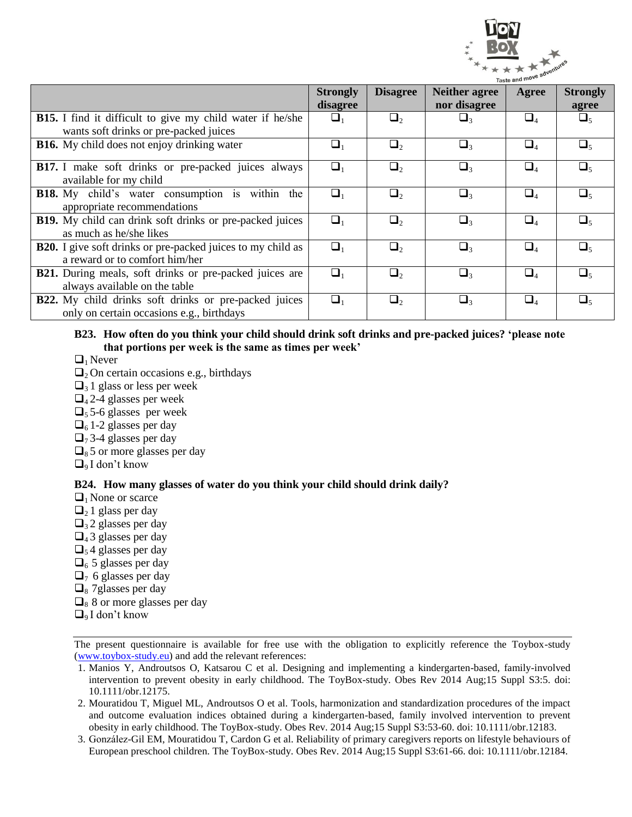

|                                                                    |                 |                 |                       | <b>Idsteam</b>                 |                    |
|--------------------------------------------------------------------|-----------------|-----------------|-----------------------|--------------------------------|--------------------|
|                                                                    | <b>Strongly</b> | <b>Disagree</b> | <b>Neither agree</b>  | Agree                          | <b>Strongly</b>    |
|                                                                    | disagree        |                 | nor disagree          |                                | agree              |
| <b>B15.</b> I find it difficult to give my child water if he/she   | $\sqcup_1$      | $\Box$          | $\sqcup$ <sub>3</sub> | $\Box_4$                       | $\sqcup_{\preceq}$ |
| wants soft drinks or pre-packed juices                             |                 |                 |                       |                                |                    |
| <b>B16.</b> My child does not enjoy drinking water                 | $\Box_1$        | $\Box$ ,        | $\Box$ <sub>3</sub>   | $\Box_4$                       |                    |
|                                                                    |                 |                 |                       |                                |                    |
| <b>B17.</b> I make soft drinks or pre-packed juices always         | $\Box_1$        | $\Box$ ,        | $\Box$ 3              | $\Box_4$                       | $\Box$             |
| available for my child                                             |                 |                 |                       |                                |                    |
| B18. My child's water consumption is within the                    | $\Box_1$        | $\Box$ ,        | $\Box$ 3              | $\Box_4$                       | $\Box$             |
| appropriate recommendations                                        |                 |                 |                       |                                |                    |
| <b>B19.</b> My child can drink soft drinks or pre-packed juices    | $\Box$          | $\Box$ ,        | $\Box$                | $\Box_4$                       |                    |
| as much as he/she likes                                            |                 |                 |                       |                                |                    |
| <b>B20.</b> I give soft drinks or pre-packed juices to my child as | $\Box_1$        | $\Box$          | $\Box$ 3              | $\Box_4$                       | $\Box$             |
| a reward or to comfort him/her                                     |                 |                 |                       |                                |                    |
| <b>B21.</b> During meals, soft drinks or pre-packed juices are     | $\Box_1$        | $\Box$ ,        | $\Box$ 3              | $\Box_4$                       | $\Box$             |
| always available on the table                                      |                 |                 |                       |                                |                    |
| <b>B22.</b> My child drinks soft drinks or pre-packed juices       | ❏,              | $\Box$          | $\Box$ <sub>3</sub>   | $\Box_{\scriptscriptstyle{A}}$ |                    |
| only on certain occasions e.g., birthdays                          |                 |                 |                       |                                |                    |

#### **B23. How often do you think your child should drink soft drinks and pre-packed juices? 'please note that portions per week is the same as times per week'**

- $\Box$ <sub>1</sub> Never
- $\Box_2$  On certain occasions e.g., birthdays
- $\Box$ <sub>3</sub> 1 glass or less per week
- $\Box$ <sub>4</sub> 2-4 glasses per week
- $\Box$ <sub>5</sub> 5-6 glasses per week
- $\Box$ <sub>6</sub> 1-2 glasses per day
- $\Box$ <sub>7</sub> 3-4 glasses per day
- $\Box$ <sub>8</sub> 5 or more glasses per day
- $\Box$ <sub>9</sub> I don't know

#### **B24. How many glasses of water do you think your child should drink daily?**

- $\Box$ <sub>1</sub> None or scarce
- $\Box$ <sub>2</sub> 1 glass per day
- $\Box$ <sub>3</sub> 2 glasses per day
- $\Box$ <sub>4</sub> 3 glasses per day
- $\Box$ <sub>5</sub> 4 glasses per day
- $\Box$ <sub>6</sub> 5 glasses per day
- $\Box$ <sub>7</sub> 6 glasses per day
- $\Box$ <sub>8</sub> 7 glasses per day
- $\Box$ <sub>8</sub> 8 or more glasses per day
- $\Box$ <sub>9</sub> I don't know

- 1. Manios Y, Androutsos O, Katsarou C et al. Designing and implementing a kindergarten-based, family-involved intervention to prevent obesity in early childhood. The ToyBox-study. Obes Rev 2014 Aug;15 Suppl S3:5. doi: 10.1111/obr.12175.
- 2. Mouratidou T, Miguel ML, Androutsos O et al. Tools, harmonization and standardization procedures of the impact and outcome evaluation indices obtained during a kindergarten-based, family involved intervention to prevent obesity in early childhood. The ToyBox-study. Obes Rev. 2014 Aug;15 Suppl S3:53-60. doi: 10.1111/obr.12183.
- 3. González-Gil EM, Mouratidou T, Cardon G et al. Reliability of primary caregivers reports on lifestyle behaviours of European preschool children. The ToyBox-study. Obes Rev. 2014 Aug;15 Suppl S3:61-66. doi: 10.1111/obr.12184.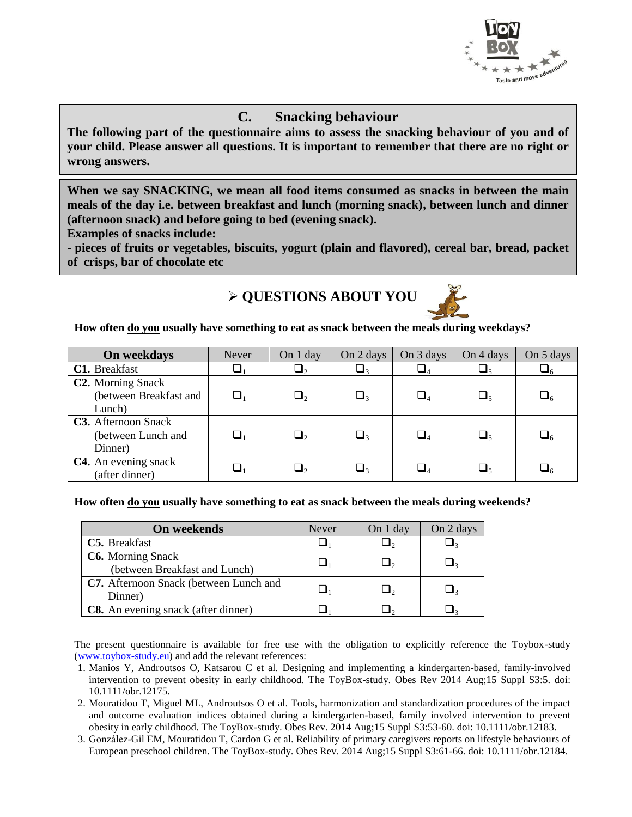

### **C. Snacking behaviour**

**The following part of the questionnaire aims to assess the snacking behaviour of you and of your child. Please answer all questions. It is important to remember that there are no right or wrong answers.** 

**When we say SNACKING, we mean all food items consumed as snacks in between the main meals of the day i.e. between breakfast and lunch (morning snack), between lunch and dinner (afternoon snack) and before going to bed (evening snack).**

**Examples of snacks include:**

**- pieces of fruits or vegetables, biscuits, yogurt (plain and flavored), cereal bar, bread, packet of crisps, bar of chocolate etc**

# **QUESTIONS ABOUT YOU**



**How often do you usually have something to eat as snack between the meals during weekdays?**

| On weekdays                                                        | Never      | On 1 day   | On 2 days           | On 3 days                        | On 4 days               | On 5 days |
|--------------------------------------------------------------------|------------|------------|---------------------|----------------------------------|-------------------------|-----------|
| C1. Breakfast                                                      |            | $\sqcup_2$ | ┙╕                  | $\sqcup_4$                       |                         | $\Box_6$  |
| C <sub>2</sub> . Morning Snack<br>(between Breakfast and<br>Lunch) | $\sqcup_1$ | $\sqcup_2$ | $\Box$ <sub>3</sub> | $\sqcup_{\scriptscriptstyle{A}}$ | $\sqcup_{5}$            | $\Box_6$  |
| <b>C3.</b> Afternoon Snack<br>(between Lunch and<br>Dinner)        | $\sqcup_1$ | $\Box_2$   | $\Box$              | $\sqcup_{\scriptscriptstyle{A}}$ | $\sqcup_{\preccurlyeq}$ | $\Box_6$  |
| C4. An evening snack<br>(after dinner)                             |            | $\sqcup$   | $\Box$ 3            | $\sqcup_{\scriptscriptstyle{A}}$ | ہ ہے۔                   | ہ ا       |

**How often do you usually have something to eat as snack between the meals during weekends?**

| <b>On weekends</b>                            | Never | On 1 day | On 2 days |
|-----------------------------------------------|-------|----------|-----------|
| C5. Breakfast                                 |       |          |           |
| <b>C6.</b> Morning Snack                      |       |          |           |
| (between Breakfast and Lunch)                 |       |          | $\Box$ 2  |
| <b>C7.</b> Afternoon Snack (between Lunch and |       |          | $\sqcup$  |
| Dinner)                                       |       |          |           |
| <b>C8.</b> An evening snack (after dinner)    |       |          |           |

The present questionnaire is available for free use with the obligation to explicitly reference the Toybox-study (www.toybox-study.eu) and add the relevant references:

1. Manios Y, Androutsos O, Katsarou C et al. Designing and implementing a kindergarten-based, family-involved intervention to prevent obesity in early childhood. The ToyBox-study. Obes Rev 2014 Aug;15 Suppl S3:5. doi: 10.1111/obr.12175.

2. Mouratidou T, Miguel ML, Androutsos O et al. Tools, harmonization and standardization procedures of the impact and outcome evaluation indices obtained during a kindergarten-based, family involved intervention to prevent obesity in early childhood. The ToyBox-study. Obes Rev. 2014 Aug;15 Suppl S3:53-60. doi: 10.1111/obr.12183.

3. González-Gil EM, Mouratidou T, Cardon G et al. Reliability of primary caregivers reports on lifestyle behaviours of European preschool children. The ToyBox-study. Obes Rev. 2014 Aug;15 Suppl S3:61-66. doi: 10.1111/obr.12184.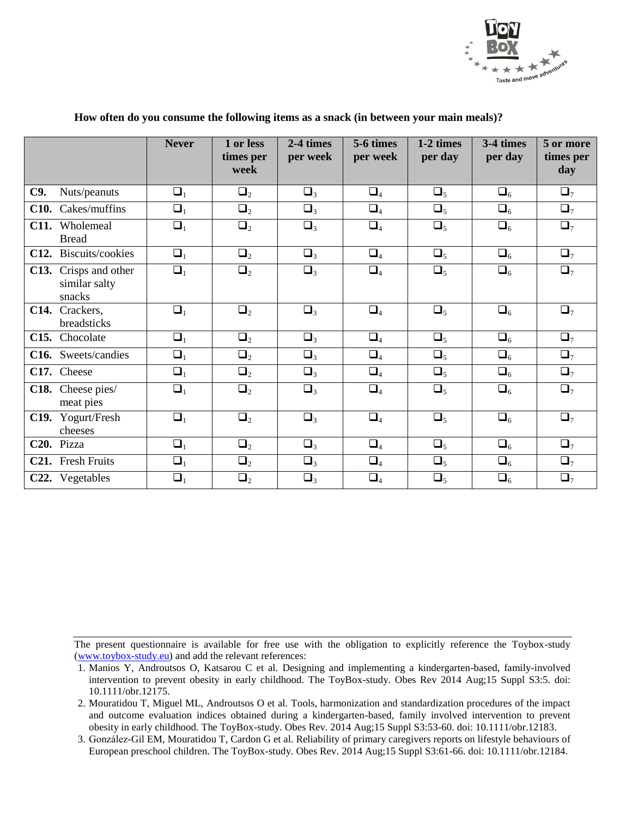

|                                                     | <b>Never</b> | 1 or less<br>times per<br>week | $2-4$ times<br>per week | 5-6 times<br>per week | 1-2 times<br>per day | 3-4 times<br>per day | 5 or more<br>times per<br>day |
|-----------------------------------------------------|--------------|--------------------------------|-------------------------|-----------------------|----------------------|----------------------|-------------------------------|
| C9.<br>Nuts/peanuts                                 | $\Box_1$     | $\Box_2$                       | $\Box_3$                | $\Box_4$              | $\Box_5$             | $\Box_6$             | $\Box_7$                      |
| Cakes/muffins<br>C <sub>10</sub> .                  | $\Box_1$     | $\Box_2$                       | $\Box_3$                | $\Box_4$              | $\Box_5$             | $\Box_6$             | $\Box_7$                      |
| C11. Wholemeal<br><b>Bread</b>                      | $\Box_1$     | $\Box_2$                       | $\Box_3$                | $\Box_4$              | $\Box_5$             | $\Box_6$             | $\Box_7$                      |
| Biscuits/cookies<br>C12.                            | $\Box_1$     | $\Box_2$                       | $\Box_3$                | $\Box_4$              | $\Box_5$             | $\Box_6$             | $\Box_7$                      |
| Crisps and other<br>C13.<br>similar salty<br>snacks | $\Box_1$     | $\Box_2$                       | $\Box_3$                | $\Box_4$              | $\Box_5$             | $\Box_6$             | $\Box_7$                      |
| Crackers,<br>C14.<br>breadsticks                    | $\Box_1$     | $\Box_2$                       | $\Box_3$                | $\Box_4$              | $\Box_5$             | $\Box_6$             | $\Box_7$                      |
| Chocolate<br>C15.                                   | $\Box_1$     | $\Box_2$                       | $\Box_3$                | $\Box_4$              | $\Box_5$             | $\Box_6$             | $\Box_7$                      |
| C16. Sweets/candies                                 | $\Box_1$     | $\Box_2$                       | $\Box_3$                | $\Box_4$              | $\Box_5$             | $\Box_6$             | $\Box_7$                      |
| C17. Cheese                                         | $\Box_1$     | $\Box_2$                       | $\Box_3$                | $\Box_4$              | $\Box_5$             | $\square_6$          | $\Box_7$                      |
| C18. Cheese pies/<br>meat pies                      | $\Box_1$     | $\Box_2$                       | $\Box_3$                | $\Box_4$              | $\Box_5$             | $\Box_6$             | $\Box_7$                      |
| C19. Yogurt/Fresh<br>cheeses                        | $\Box_1$     | $\Box_2$                       | $\Box_3$                | $\Box_4$              | $\Box_5$             | $\Box_6$             | $\Box_7$                      |
| C <sub>20</sub> . Pizza                             | $\Box_1$     | $\Box_2$                       | $\Box_3$                | $\Box_4$              | $\Box_5$             | $\Box_6$             | $\Box_7$                      |
| C21. Fresh Fruits                                   | $\Box_1$     | $\Box_2$                       | $\Box_3$                | $\Box_4$              | $\Box_5$             | $\square_6$          | $\Box$ <sub>7</sub>           |
| C22. Vegetables                                     | $\Box_1$     | $\Box_2$                       | $\Box_3$                | $\Box_4$              | $\Box_5$             | $\Box_6$             | $\Box_7$                      |

#### **How often do you consume the following items as a snack (in between your main meals)?**

<sup>1.</sup> Manios Y, Androutsos O, Katsarou C et al. Designing and implementing a kindergarten-based, family-involved intervention to prevent obesity in early childhood. The ToyBox-study. Obes Rev 2014 Aug;15 Suppl S3:5. doi: 10.1111/obr.12175.

<sup>2.</sup> Mouratidou T, Miguel ML, Androutsos O et al. Tools, harmonization and standardization procedures of the impact and outcome evaluation indices obtained during a kindergarten-based, family involved intervention to prevent obesity in early childhood. The ToyBox-study. Obes Rev. 2014 Aug;15 Suppl S3:53-60. doi: 10.1111/obr.12183.

<sup>3.</sup> González-Gil EM, Mouratidou T, Cardon G et al. Reliability of primary caregivers reports on lifestyle behaviours of European preschool children. The ToyBox-study. Obes Rev. 2014 Aug;15 Suppl S3:61-66. doi: 10.1111/obr.12184.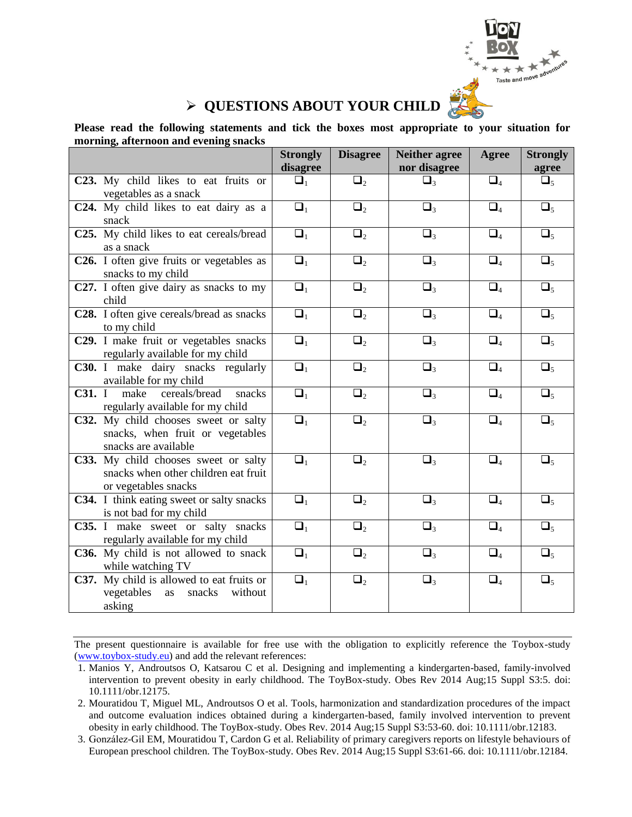

# **QUESTIONS ABOUT YOUR CHILD**

**Please read the following statements and tick the boxes most appropriate to your situation for morning, afternoon and evening snacks**

|                                                                                                      | <b>Strongly</b><br>disagree | <b>Disagree</b> | <b>Neither agree</b><br>nor disagree | <b>Agree</b> | <b>Strongly</b><br>agree |
|------------------------------------------------------------------------------------------------------|-----------------------------|-----------------|--------------------------------------|--------------|--------------------------|
| C23. My child likes to eat fruits or<br>vegetables as a snack                                        | $\Box_1$                    | $\Box_2$        | $\Box_3$                             | $\Box_4$     | $\Box_5$                 |
| C24. My child likes to eat dairy as a<br>snack                                                       | $\overline{\square_1}$      | $\Box_2$        | $\overline{\square}$                 | $\Box_4$     | $\overline{\Box_5}$      |
| C25. My child likes to eat cereals/bread<br>as a snack                                               | $\overline{\square}_1$      | $\Box_2$        | $\Box_3$                             | $\Box_4$     | $\Box_5$                 |
| C26. I often give fruits or vegetables as<br>snacks to my child                                      | $\Box_1$                    | $\Box_2$        | $\Box_3$                             | $\Box_4$     | $\Box_5$                 |
| C27. I often give dairy as snacks to my<br>child                                                     | $\Box_1$                    | $\Box_2$        | $\Box_3$                             | $\Box_4$     | $\Box_5$                 |
| C28. I often give cereals/bread as snacks<br>to my child                                             | $\Box_1$                    | $\Box_2$        | $\Box_3$                             | $\Box_4$     | $\Box_5$                 |
| C29. I make fruit or vegetables snacks<br>regularly available for my child                           | $\Box_1$                    | $\Box_2$        | $\Box_3$                             | $\Box_4$     | $\Box_5$                 |
| C30. I make dairy snacks regularly<br>available for my child                                         | $\Box_1$                    | $\Box_2$        | $\Box_3$                             | $\Box_4$     | $\Box_5$                 |
| C31. I<br>make cereals/bread<br>snacks<br>regularly available for my child                           | $\Box_1$                    | $\Box_2$        | $\Box_3$                             | $\Box_4$     | $\Box_5$                 |
| C32. My child chooses sweet or salty<br>snacks, when fruit or vegetables<br>snacks are available     | $\Box_1$                    | $\Box_2$        | $\Box_3$                             | $\Box_4$     | $\Box_5$                 |
| C33. My child chooses sweet or salty<br>snacks when other children eat fruit<br>or vegetables snacks | $\Box_1$                    | $\Box_2$        | $\Box_3$                             | $\Box_4$     | $\Box_5$                 |
| C34. I think eating sweet or salty snacks<br>is not bad for my child                                 | $\Box_1$                    | $\Box_2$        | $\Box_3$                             | $\Box_4$     | $\Box_5$                 |
| C35. I make sweet or salty snacks<br>regularly available for my child                                | $\Box_1$                    | $\Box_2$        | $\Box_3$                             | $\Box_4$     | $\Box_5$                 |
| C36. My child is not allowed to snack<br>while watching TV                                           | $\Box_1$                    | $\Box_2$        | $\Box_3$                             | $\Box_4$     | $\Box_5$                 |
| C37. My child is allowed to eat fruits or<br>vegetables<br>as<br>snacks<br>without<br>asking         | $\Box_1$                    | $\Box_2$        | $\Box_3$                             | $\Box_4$     | $\Box_5$                 |

<sup>1.</sup> Manios Y, Androutsos O, Katsarou C et al. Designing and implementing a kindergarten-based, family-involved intervention to prevent obesity in early childhood. The ToyBox-study. Obes Rev 2014 Aug;15 Suppl S3:5. doi: 10.1111/obr.12175.

<sup>2.</sup> Mouratidou T, Miguel ML, Androutsos O et al. Tools, harmonization and standardization procedures of the impact and outcome evaluation indices obtained during a kindergarten-based, family involved intervention to prevent obesity in early childhood. The ToyBox-study. Obes Rev. 2014 Aug;15 Suppl S3:53-60. doi: 10.1111/obr.12183.

<sup>3.</sup> González-Gil EM, Mouratidou T, Cardon G et al. Reliability of primary caregivers reports on lifestyle behaviours of European preschool children. The ToyBox-study. Obes Rev. 2014 Aug;15 Suppl S3:61-66. doi: 10.1111/obr.12184.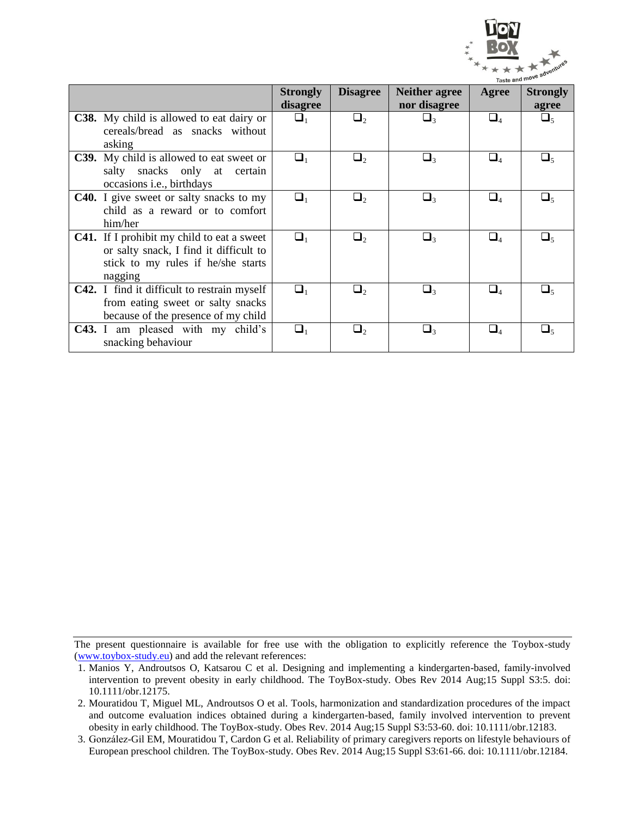

|        |                                                                                                                                              | <b>Strongly</b><br>disagree | <b>Disagree</b> | <b>Neither agree</b><br>nor disagree | Agree                          | <b>Strongly</b><br>agree |
|--------|----------------------------------------------------------------------------------------------------------------------------------------------|-----------------------------|-----------------|--------------------------------------|--------------------------------|--------------------------|
| asking | <b>C38.</b> My child is allowed to eat dairy or<br>cereals/bread as snacks without                                                           | $\Box_1$                    | $\Box_2$        | $\Box_3$                             | $\Box_4$                       | $\Box_5$                 |
|        | <b>C39.</b> My child is allowed to eat sweet or<br>salty snacks only at certain<br>occasions <i>i.e.</i> , birthdays                         | $\Box_1$                    | $\Box_2$        | $\Box_3$                             | $\Box_4$                       | $\Box_5$                 |
|        | <b>C40.</b> I give sweet or salty snacks to my<br>child as a reward or to comfort<br>him/her                                                 | $\Box_1$                    | $\sqcup$        | $\Box_3$                             | $\Box_4$                       | $\Box_5$                 |
|        | <b>C41.</b> If I prohibit my child to eat a sweet<br>or salty snack, I find it difficult to<br>stick to my rules if he/she starts<br>nagging | $\Box_1$                    | $\Box$          | $\Box$                               | $\Box_{\scriptscriptstyle{A}}$ | $\Box_5$                 |
|        | <b>C42.</b> I find it difficult to restrain myself<br>from eating sweet or salty snacks<br>because of the presence of my child               | $\Box_1$                    | $\Box$          | $\Box_3$                             | $\square_4$                    | $\Box_5$                 |
|        | <b>C43.</b> I am pleased with my child's<br>snacking behaviour                                                                               | $\Box_1$                    | $\Box_2$        | $\Box$ 3                             | $\square_4$                    | $\Box_5$                 |

<sup>1.</sup> Manios Y, Androutsos O, Katsarou C et al. Designing and implementing a kindergarten-based, family-involved intervention to prevent obesity in early childhood. The ToyBox-study. Obes Rev 2014 Aug;15 Suppl S3:5. doi: 10.1111/obr.12175.

<sup>2.</sup> Mouratidou T, Miguel ML, Androutsos O et al. Tools, harmonization and standardization procedures of the impact and outcome evaluation indices obtained during a kindergarten-based, family involved intervention to prevent obesity in early childhood. The ToyBox-study. Obes Rev. 2014 Aug;15 Suppl S3:53-60. doi: 10.1111/obr.12183.

<sup>3.</sup> González-Gil EM, Mouratidou T, Cardon G et al. Reliability of primary caregivers reports on lifestyle behaviours of European preschool children. The ToyBox-study. Obes Rev. 2014 Aug;15 Suppl S3:61-66. doi: 10.1111/obr.12184.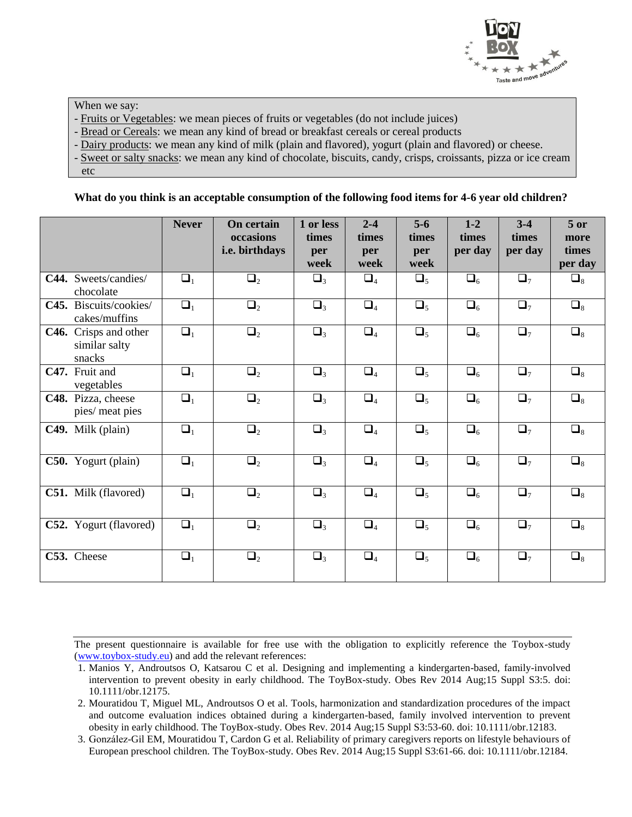

When we say:

- Fruits or Vegetables: we mean pieces of fruits or vegetables (do not include juices)

- Bread or Cereals: we mean any kind of bread or breakfast cereals or cereal products

- Dairy products: we mean any kind of milk (plain and flavored), yogurt (plain and flavored) or cheese.

- Sweet or salty snacks: we mean any kind of chocolate, biscuits, candy, crisps, croissants, pizza or ice cream

etc

#### **What do you think is an acceptable consumption of the following food items for 4-6 year old children?**

|                                                  | <b>Never</b> | <b>On certain</b><br>occasions<br>i.e. birthdays | 1 or less<br>times<br>per<br>week | $2 - 4$<br>times<br>per<br>week | $5-6$<br>times<br>per<br>week | $1 - 2$<br>times<br>per day | $3-4$<br>times<br>per day | $5$ or<br>more<br>times<br>per day |
|--------------------------------------------------|--------------|--------------------------------------------------|-----------------------------------|---------------------------------|-------------------------------|-----------------------------|---------------------------|------------------------------------|
| C44. Sweets/candies/<br>chocolate                | $\Box_1$     | $\Box_2$                                         | $\Box_3$                          | $\Box_4$                        | $\Box_5$                      | $\Box_6$                    | $\Box_7$                  | $\square_8$                        |
| C45. Biscuits/cookies/<br>cakes/muffins          | $\Box_1$     | $\Box_2$                                         | $\Box_3$                          | $\Box_4$                        | $\Box_5$                      | $\Box_6$                    | $\Box$ <sub>7</sub>       | $\Box_8$                           |
| C46. Crisps and other<br>similar salty<br>snacks | $\Box_1$     | $\Box_2$                                         | $\Box_3$                          | $\Box_4$                        | $\Box_5$                      | $\Box_6$                    | $\Box$ <sub>7</sub>       | $\Box_8$                           |
| C47. Fruit and<br>vegetables                     | $\Box_1$     | $\Box_2$                                         | $\Box_3$                          | $\Box_4$                        | $\Box_5$                      | $\square_6$                 | $\Box$ <sub>7</sub>       | $\Box_8$                           |
| C48. Pizza, cheese<br>pies/ meat pies            | $\Box_1$     | $\Box_2$                                         | $\Box_3$                          | $\Box_4$                        | $\Box_5$                      | $\Box_6$                    | $\Box$ <sub>7</sub>       | $\square_8$                        |
| C49. Milk (plain)                                | $\Box_1$     | $\Box_2$                                         | $\Box_3$                          | $\Box_4$                        | $\Box_5$                      | $\Box_6$                    | $\Box$ <sub>7</sub>       | $\Box_8$                           |
| C50. Yogurt (plain)                              | $\Box_1$     | $\Box_2$                                         | $\Box_3$                          | $\Box_4$                        | $\Box_5$                      | $\square_6$                 | $\Box_7$                  | $\square_8$                        |
| C51. Milk (flavored)                             | $\Box_1$     | $\Box_2$                                         | $\Box_3$                          | $\Box_4$                        | $\Box_5$                      | $\Box_6$                    | $\Box$ <sub>7</sub>       | $\Box_8$                           |
| C52. Yogurt (flavored)                           | $\Box_1$     | $\Box_2$                                         | $\Box_3$                          | $\Box_4$                        | $\Box_5$                      | $\Box_6$                    | $\Box$ <sub>7</sub>       | $\Box_8$                           |
| C53. Cheese                                      | $\Box_1$     | $\Box_2$                                         | $\Box_3$                          | $\Box_4$                        | $\Box_5$                      | $\Box_6$                    | $\Box$ <sub>7</sub>       | $\square_8$                        |

<sup>1.</sup> Manios Y, Androutsos O, Katsarou C et al. Designing and implementing a kindergarten-based, family-involved intervention to prevent obesity in early childhood. The ToyBox-study. Obes Rev 2014 Aug;15 Suppl S3:5. doi: 10.1111/obr.12175.

<sup>2.</sup> Mouratidou T, Miguel ML, Androutsos O et al. Tools, harmonization and standardization procedures of the impact and outcome evaluation indices obtained during a kindergarten-based, family involved intervention to prevent obesity in early childhood. The ToyBox-study. Obes Rev. 2014 Aug;15 Suppl S3:53-60. doi: 10.1111/obr.12183.

<sup>3.</sup> González-Gil EM, Mouratidou T, Cardon G et al. Reliability of primary caregivers reports on lifestyle behaviours of European preschool children. The ToyBox-study. Obes Rev. 2014 Aug;15 Suppl S3:61-66. doi: 10.1111/obr.12184.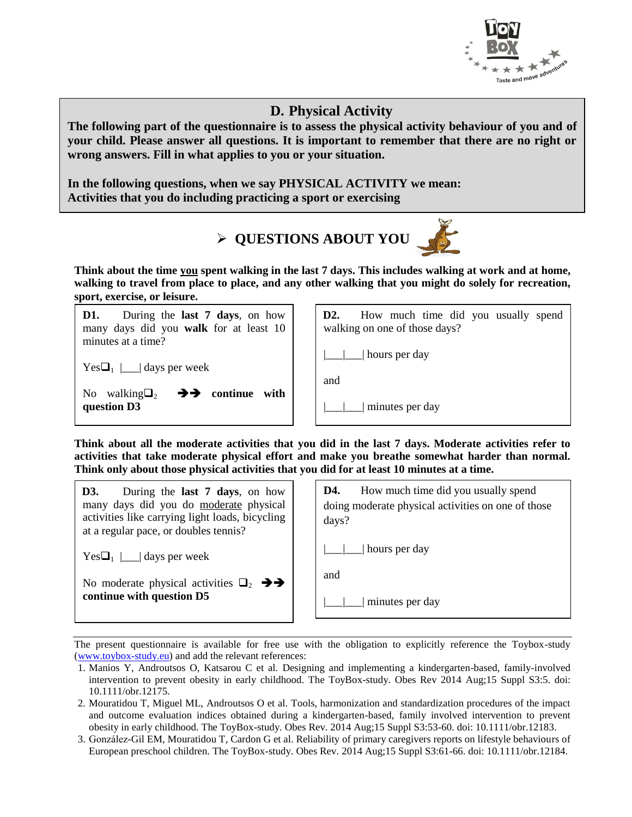

### **D. Physical Activity**

**The following part of the questionnaire is to assess the physical activity behaviour of you and of your child. Please answer all questions. It is important to remember that there are no right or wrong answers. Fill in what applies to you or your situation.** 

**In the following questions, when we say PHYSICAL ACTIVITY we mean: Activities that you do including practicing a sport or exercising** 



**Think about the time you spent walking in the last 7 days. This includes walking at work and at home, walking to travel from place to place, and any other walking that you might do solely for recreation, sport, exercise, or leisure.**

| During the <b>last 7 days</b> , on how<br>D1.<br>many days did you walk for at least 10<br>minutes at a time? | D <sub>2</sub> .<br>How much time did you usually spend<br>walking on one of those days? |
|---------------------------------------------------------------------------------------------------------------|------------------------------------------------------------------------------------------|
| $Yes\Box_1 \Box$ days per week<br>walking $\Box$ <sub>2</sub><br>$\rightarrow$ continue<br>with<br>No.        | hours per day<br>and                                                                     |
| question D3                                                                                                   | minutes per day                                                                          |

**Think about all the moderate activities that you did in the last 7 days. Moderate activities refer to activities that take moderate physical effort and make you breathe somewhat harder than normal. Think only about those physical activities that you did for at least 10 minutes at a time.** 

| During the <b>last 7 days</b> , on how<br>D3.<br>many days did you do moderate physical<br>activities like carrying light loads, bicycling<br>at a regular pace, or doubles tennis? | How much time did you usually spend<br>D4.<br>doing moderate physical activities on one of those<br>days? |
|-------------------------------------------------------------------------------------------------------------------------------------------------------------------------------------|-----------------------------------------------------------------------------------------------------------|
| $Yes\Box_1 \Box$ days per week                                                                                                                                                      | hours per day                                                                                             |
|                                                                                                                                                                                     | and                                                                                                       |
| continue with question D5                                                                                                                                                           | minutes per day                                                                                           |

- 1. Manios Y, Androutsos O, Katsarou C et al. Designing and implementing a kindergarten-based, family-involved intervention to prevent obesity in early childhood. The ToyBox-study. Obes Rev 2014 Aug;15 Suppl S3:5. doi: 10.1111/obr.12175.
- 2. Mouratidou T, Miguel ML, Androutsos O et al. Tools, harmonization and standardization procedures of the impact and outcome evaluation indices obtained during a kindergarten-based, family involved intervention to prevent obesity in early childhood. The ToyBox-study. Obes Rev. 2014 Aug;15 Suppl S3:53-60. doi: 10.1111/obr.12183.
- 3. González-Gil EM, Mouratidou T, Cardon G et al. Reliability of primary caregivers reports on lifestyle behaviours of European preschool children. The ToyBox-study. Obes Rev. 2014 Aug;15 Suppl S3:61-66. doi: 10.1111/obr.12184.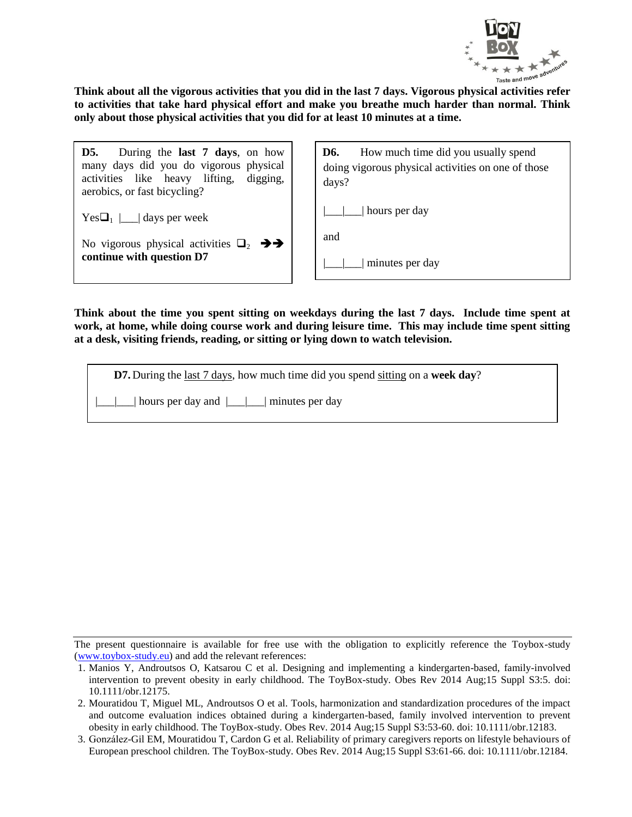

**Think about all the vigorous activities that you did in the last 7 days. Vigorous physical activities refer to activities that take hard physical effort and make you breathe much harder than normal. Think only about those physical activities that you did for at least 10 minutes at a time.** 

| <b>D5.</b> During the <b>last 7 days</b> , on how<br>many days did you do vigorous physical<br>activities like heavy lifting, digging,<br>aerobics, or fast bicycling? |  |
|------------------------------------------------------------------------------------------------------------------------------------------------------------------------|--|
| $Yes\Box_1$         days per week                                                                                                                                      |  |
| No vigorous physical activities $\Box_2$ $\rightarrow$                                                                                                                 |  |

**continue with question D7**

**D6.** How much time did you usually spend doing vigorous physical activities on one of those days?

| | | | hours per day

and

|\_\_\_|\_\_\_| minutes per day

**Think about the time you spent sitting on weekdays during the last 7 days. Include time spent at work, at home, while doing course work and during leisure time. This may include time spent sitting at a desk, visiting friends, reading, or sitting or lying down to watch television.**

**D7.** During the last 7 days, how much time did you spend sitting on a **week day**?

 $\Box$  hours per day and  $\Box$  minutes per day

<sup>1.</sup> Manios Y, Androutsos O, Katsarou C et al. Designing and implementing a kindergarten-based, family-involved intervention to prevent obesity in early childhood. The ToyBox-study. Obes Rev 2014 Aug;15 Suppl S3:5. doi: 10.1111/obr.12175.

<sup>2.</sup> Mouratidou T, Miguel ML, Androutsos O et al. Tools, harmonization and standardization procedures of the impact and outcome evaluation indices obtained during a kindergarten-based, family involved intervention to prevent obesity in early childhood. The ToyBox-study. Obes Rev. 2014 Aug;15 Suppl S3:53-60. doi: 10.1111/obr.12183.

<sup>3.</sup> González-Gil EM, Mouratidou T, Cardon G et al. Reliability of primary caregivers reports on lifestyle behaviours of European preschool children. The ToyBox-study. Obes Rev. 2014 Aug;15 Suppl S3:61-66. doi: 10.1111/obr.12184.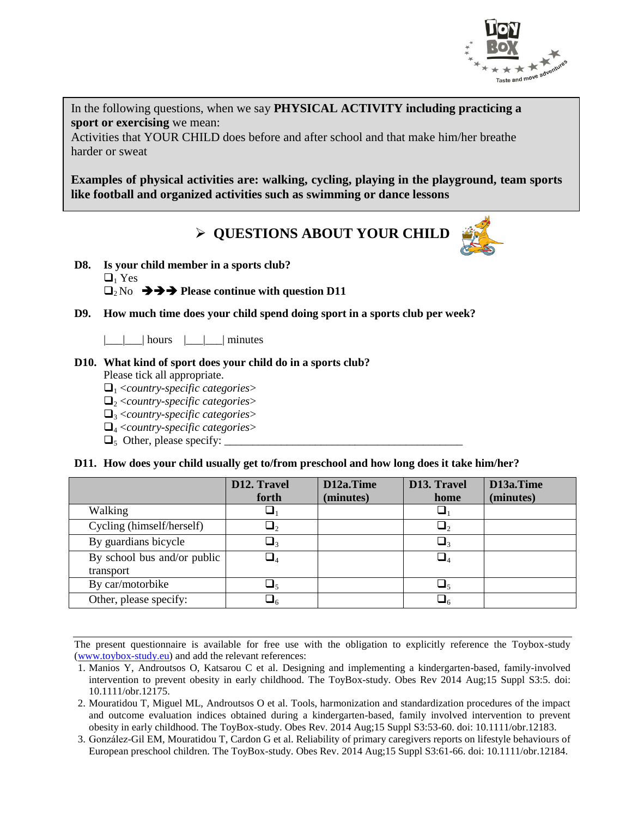

In the following questions, when we say **PHYSICAL ACTIVITY including practicing a sport or exercising** we mean:

Activities that YOUR CHILD does before and after school and that make him/her breathe harder or sweat

**Examples of physical activities are: walking, cycling, playing in the playground, team sports like football and organized activities such as swimming or dance lessons**

**QUESTIONS ABOUT YOUR CHILD**



 $\Box$  Yes

 $\Box_2$ No  $\rightarrow \rightarrow \rightarrow$  Please continue with question D11

**D9. How much time does your child spend doing sport in a sports club per week?**

|\_\_\_|\_\_\_| hours |\_\_\_|\_\_\_| minutes

#### **D10. What kind of sport does your child do in a sports club?**

Please tick all appropriate.

- $\Box$ <sub>1</sub> <*country-specific categories*>
- <sup>2</sup> <*country-specific categories*>
- <sup>3</sup> <*country-specific categories*>
- <sup>4</sup> <*country-specific categories*>
- $\Box$ <sub>5</sub> Other, please specify:

**D11. How does your child usually get to/from preschool and how long does it take him/her?** 

|                             | D12. Travel | D12a.Time | D13. Travel | D13a.Time |
|-----------------------------|-------------|-----------|-------------|-----------|
|                             | forth       | (minutes) | home        | (minutes) |
| Walking                     | ⊔1          |           |             |           |
| Cycling (himself/herself)   | $\sqcup_2$  |           |             |           |
| By guardians bicycle        | $\Box_3$    |           |             |           |
| By school bus and/or public | $\Box_4$    |           |             |           |
| transport                   |             |           |             |           |
| By car/motorbike            | $\Box_5$    |           |             |           |
| Other, please specify:      | $\sqcup_6$  |           |             |           |

- 1. Manios Y, Androutsos O, Katsarou C et al. Designing and implementing a kindergarten-based, family-involved intervention to prevent obesity in early childhood. The ToyBox-study. Obes Rev 2014 Aug;15 Suppl S3:5. doi: 10.1111/obr.12175.
- 2. Mouratidou T, Miguel ML, Androutsos O et al. Tools, harmonization and standardization procedures of the impact and outcome evaluation indices obtained during a kindergarten-based, family involved intervention to prevent obesity in early childhood. The ToyBox-study. Obes Rev. 2014 Aug;15 Suppl S3:53-60. doi: 10.1111/obr.12183.
- 3. González-Gil EM, Mouratidou T, Cardon G et al. Reliability of primary caregivers reports on lifestyle behaviours of European preschool children. The ToyBox-study. Obes Rev. 2014 Aug;15 Suppl S3:61-66. doi: 10.1111/obr.12184.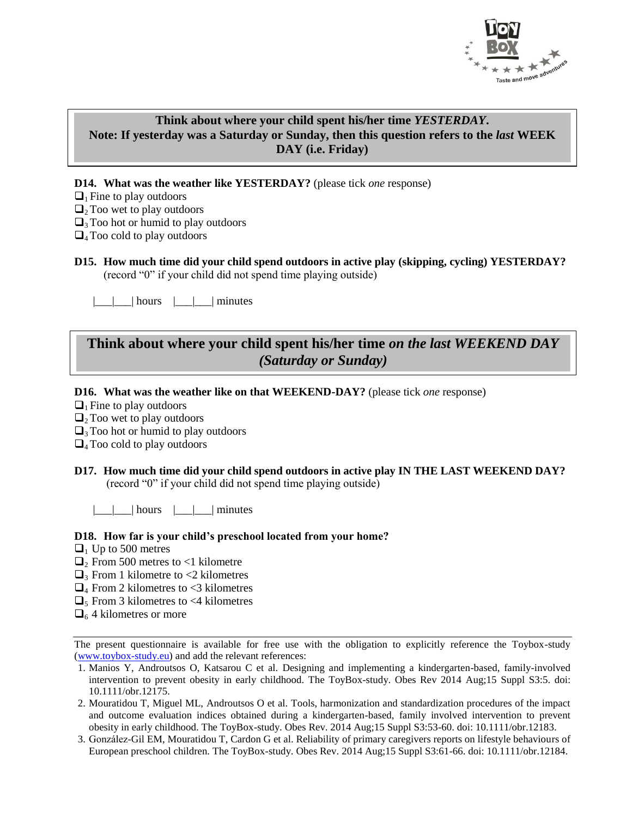

#### **Think about where your child spent his/her time** *YESTERDAY***. Note: If yesterday was a Saturday or Sunday, then this question refers to the** *last* **WEEK DAY (i.e. Friday)**

**D14. What was the weather like YESTERDAY?** (please tick *one* response)

- $\Box$ <sub>1</sub> Fine to play outdoors
- $\Box$ <sub>2</sub> Too wet to play outdoors
- $\Box$ <sub>3</sub> Too hot or humid to play outdoors
- $\Box$ <sub>4</sub> Too cold to play outdoors
- **D15. How much time did your child spend outdoors in active play (skipping, cycling) YESTERDAY?**  (record "0" if your child did not spend time playing outside)

 $\Box$ | hours  $\Box$ | minutes

### **Think about where your child spent his/her time** *on the last WEEKEND DAY (Saturday or Sunday)*

#### **D16. What was the weather like on that WEEKEND-DAY?** (please tick *one* response)

 $\Box$ <sub>1</sub> Fine to play outdoors

- $\Box$ <sub>2</sub> Too wet to play outdoors
- $\Box$ <sub>3</sub> Too hot or humid to play outdoors

 $\Box$ <sub>4</sub> Too cold to play outdoors

#### **D17. How much time did your child spend outdoors in active play IN THE LAST WEEKEND DAY?**  (record "0" if your child did not spend time playing outside)

 $|\_$ |  $|\_$ | hours  $|\_$ |  $|\_$ | minutes

#### **D18. How far is your child's preschool located from your home?**

- $\Box$  Up to 500 metres
- $\Box$ <sub>2</sub> From 500 metres to <1 kilometre
- $\Box$ <sub>3</sub> From 1 kilometre to <2 kilometres
- $\Box$ <sub>4</sub> From 2 kilometres to <3 kilometres
- $\Box$ <sub>5</sub> From 3 kilometres to <4 kilometres
- $\Box$ <sub>6</sub> 4 kilometres or more

- 1. Manios Y, Androutsos O, Katsarou C et al. Designing and implementing a kindergarten-based, family-involved intervention to prevent obesity in early childhood. The ToyBox-study. Obes Rev 2014 Aug;15 Suppl S3:5. doi: 10.1111/obr.12175.
- 2. Mouratidou T, Miguel ML, Androutsos O et al. Tools, harmonization and standardization procedures of the impact and outcome evaluation indices obtained during a kindergarten-based, family involved intervention to prevent obesity in early childhood. The ToyBox-study. Obes Rev. 2014 Aug;15 Suppl S3:53-60. doi: 10.1111/obr.12183.
- 3. González-Gil EM, Mouratidou T, Cardon G et al. Reliability of primary caregivers reports on lifestyle behaviours of European preschool children. The ToyBox-study. Obes Rev. 2014 Aug;15 Suppl S3:61-66. doi: 10.1111/obr.12184.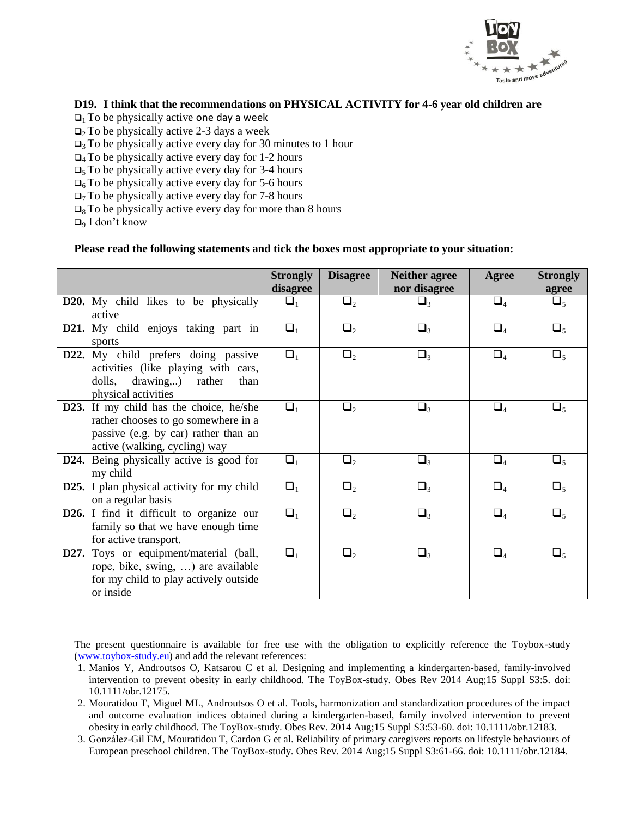

#### **D19. I think that the recommendations on PHYSICAL ACTIVITY for 4-6 year old children are**

- $\Box$ <sub>1</sub> To be physically active one day a week
- $\Box$ <sub>2</sub> To be physically active 2-3 days a week
- $\Box$ <sub>3</sub> To be physically active every day for 30 minutes to 1 hour
- $\Box$ <sub>4</sub> To be physically active every day for 1-2 hours
- $\Box$ <sub>5</sub> To be physically active every day for 3-4 hours
- $\Box$ <sub>6</sub> To be physically active every day for 5-6 hours
- $\Box$ <sub>7</sub> To be physically active every day for 7-8 hours
- $\Box$ <sub>8</sub> To be physically active every day for more than 8 hours
- $\Box$ <sub>9</sub> I don't know

#### **Please read the following statements and tick the boxes most appropriate to your situation:**

|                                                                                                                                                         | <b>Strongly</b><br>disagree | <b>Disagree</b> | <b>Neither agree</b><br>nor disagree | Agree    | <b>Strongly</b><br>agree |
|---------------------------------------------------------------------------------------------------------------------------------------------------------|-----------------------------|-----------------|--------------------------------------|----------|--------------------------|
| D20. My child likes to be physically                                                                                                                    | $\Box_1$                    | $\Box_2$        | $\Box_3$                             | $\Box_4$ | $\Box_5$                 |
| active                                                                                                                                                  |                             |                 |                                      |          |                          |
| D21. My child enjoys taking part in<br>sports                                                                                                           | $\Box_1$                    | $\Box_2$        | $\Box_3$                             | $\Box_4$ | $\Box_5$                 |
| D22. My child prefers doing passive<br>activities (like playing with cars,<br>drawing,) rather<br>dolls,<br>than<br>physical activities                 | $\Box_1$                    | $\Box_2$        | $\Box_3$                             | $\Box_4$ | $\Box_5$                 |
| D23. If my child has the choice, he/she<br>rather chooses to go somewhere in a<br>passive (e.g. by car) rather than an<br>active (walking, cycling) way | $\Box_1$                    | $\Box_2$        | $\Box_3$                             | $\Box_4$ | $\Box_5$                 |
| D24. Being physically active is good for<br>my child                                                                                                    | $\Box_1$                    | $\Box_2$        | $\Box_3$                             | $\Box_4$ | $\Box_5$                 |
| <b>D25.</b> I plan physical activity for my child<br>on a regular basis                                                                                 | $\Box_1$                    | $\Box_2$        | $\Box_3$                             | $\Box_4$ | $\Box_5$                 |
| D26. I find it difficult to organize our<br>family so that we have enough time<br>for active transport.                                                 | $\Box_1$                    | $\Box_2$        | $\Box_3$                             | $\Box_4$ | $\Box_5$                 |
| <b>D27.</b> Toys or equipment/material (ball,<br>rope, bike, swing, ) are available<br>for my child to play actively outside<br>or inside               | $\Box_1$                    | $\Box_2$        | $\Box_3$                             | $\Box_4$ | $\Box_5$                 |

The present questionnaire is available for free use with the obligation to explicitly reference the Toybox-study (www.toybox-study.eu) and add the relevant references:

3. González-Gil EM, Mouratidou T, Cardon G et al. Reliability of primary caregivers reports on lifestyle behaviours of European preschool children. The ToyBox-study. Obes Rev. 2014 Aug;15 Suppl S3:61-66. doi: 10.1111/obr.12184.

<sup>1.</sup> Manios Y, Androutsos O, Katsarou C et al. Designing and implementing a kindergarten-based, family-involved intervention to prevent obesity in early childhood. The ToyBox-study. Obes Rev 2014 Aug;15 Suppl S3:5. doi: 10.1111/obr.12175.

<sup>2.</sup> Mouratidou T, Miguel ML, Androutsos O et al. Tools, harmonization and standardization procedures of the impact and outcome evaluation indices obtained during a kindergarten-based, family involved intervention to prevent obesity in early childhood. The ToyBox-study. Obes Rev. 2014 Aug;15 Suppl S3:53-60. doi: 10.1111/obr.12183.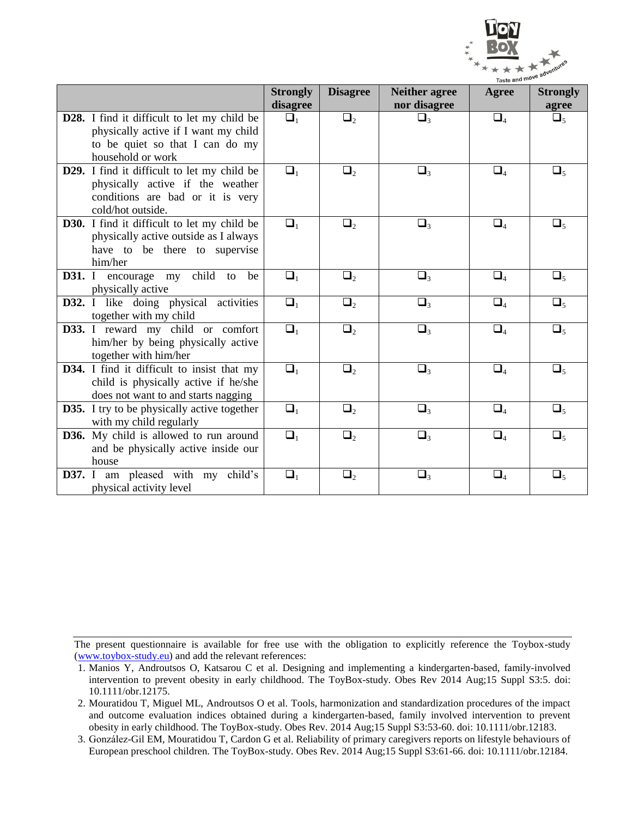

|                                                    | <b>Strongly</b><br>disagree | <b>Disagree</b>     | <b>Neither agree</b><br>nor disagree | Agree    | <b>Strongly</b><br>agree |
|----------------------------------------------------|-----------------------------|---------------------|--------------------------------------|----------|--------------------------|
| D28. I find it difficult to let my child be        | $\Box_1$                    | $\Box_2$            | $\Box_3$                             | $\Box_4$ |                          |
| physically active if I want my child               |                             |                     |                                      |          | $\Box_5$                 |
| to be quiet so that I can do my                    |                             |                     |                                      |          |                          |
| household or work                                  |                             |                     |                                      |          |                          |
| D29. I find it difficult to let my child be        | $\Box_1$                    | $\Box_2$            | $\Box_3$                             | $\Box_4$ | $\Box_5$                 |
| physically active if the weather                   |                             |                     |                                      |          |                          |
| conditions are bad or it is very                   |                             |                     |                                      |          |                          |
| cold/hot outside.                                  |                             |                     |                                      |          |                          |
| <b>D30.</b> I find it difficult to let my child be | $\Box_1$                    | $\Box_2$            | $\Box_3$                             | $\Box_4$ | $\Box_5$                 |
| physically active outside as I always              |                             |                     |                                      |          |                          |
| have to be there to supervise                      |                             |                     |                                      |          |                          |
| him/her                                            |                             |                     |                                      |          |                          |
| child<br><b>D31.</b> I encourage my<br>be<br>to    | $\Box_1$                    | $\Box_2$            | $\Box_3$                             | $\Box_4$ | $\Box_5$                 |
| physically active                                  |                             |                     |                                      |          |                          |
| D32. I like doing physical activities              | $\Box_1$                    | $\Box_2$            | $\Box_3$                             | $\Box_4$ | $\Box_5$                 |
| together with my child                             |                             |                     |                                      |          |                          |
| D33. I reward my child or comfort                  | $\Box_1$                    | $\Box_2$            | $\Box_3$                             | $\Box_4$ | $\Box_5$                 |
| him/her by being physically active                 |                             |                     |                                      |          |                          |
| together with him/her                              |                             |                     |                                      |          |                          |
| D34. I find it difficult to insist that my         | $\Box_1$                    | $\Box$ <sub>2</sub> | $\Box_3$                             | $\Box_4$ | $\Box_5$                 |
| child is physically active if he/she               |                             |                     |                                      |          |                          |
| does not want to and starts nagging                |                             |                     |                                      |          |                          |
| <b>D35.</b> I try to be physically active together | $\Box_1$                    | $\Box_2$            | $\Box_3$                             | $\Box_4$ | $\Box_5$                 |
| with my child regularly                            |                             |                     |                                      |          |                          |
| D36. My child is allowed to run around             | $\Box_1$                    | $\Box$ <sub>2</sub> | $\Box_3$                             | $\Box_4$ | $\Box_5$                 |
| and be physically active inside our                |                             |                     |                                      |          |                          |
| house                                              |                             |                     |                                      |          |                          |
| D37. I am pleased with my child's                  | $\Box_1$                    | $\Box_2$            | $\Box_3$                             | $\Box_4$ | $\Box_5$                 |
| physical activity level                            |                             |                     |                                      |          |                          |

<sup>1.</sup> Manios Y, Androutsos O, Katsarou C et al. Designing and implementing a kindergarten-based, family-involved intervention to prevent obesity in early childhood. The ToyBox-study. Obes Rev 2014 Aug;15 Suppl S3:5. doi: 10.1111/obr.12175.

<sup>2.</sup> Mouratidou T, Miguel ML, Androutsos O et al. Tools, harmonization and standardization procedures of the impact and outcome evaluation indices obtained during a kindergarten-based, family involved intervention to prevent obesity in early childhood. The ToyBox-study. Obes Rev. 2014 Aug;15 Suppl S3:53-60. doi: 10.1111/obr.12183.

<sup>3.</sup> González-Gil EM, Mouratidou T, Cardon G et al. Reliability of primary caregivers reports on lifestyle behaviours of European preschool children. The ToyBox-study. Obes Rev. 2014 Aug;15 Suppl S3:61-66. doi: 10.1111/obr.12184.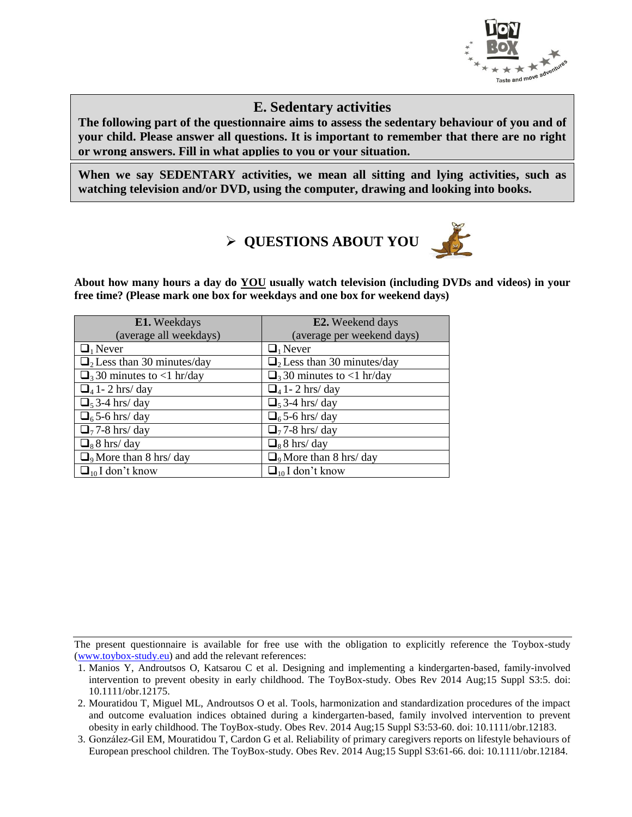

### **E. Sedentary activities**

**The following part of the questionnaire aims to assess the sedentary behaviour of you and of your child. Please answer all questions. It is important to remember that there are no right or wrong answers. Fill in what applies to you or your situation.** 

**When we say SEDENTARY activities, we mean all sitting and lying activities, such as watching television and/or DVD, using the computer, drawing and looking into books.**

# **QUESTIONS ABOUT YOU**



**About how many hours a day do YOU usually watch television (including DVDs and videos) in your free time? (Please mark one box for weekdays and one box for weekend days)**

| E1. Weekdays                                 | E2. Weekend days                             |
|----------------------------------------------|----------------------------------------------|
| (average all weekdays)                       | (average per weekend days)                   |
| $\Box_1$ Never                               | $\Box_1$ Never                               |
| $\Box$ <sub>2</sub> Less than 30 minutes/day | $\Box$ <sub>2</sub> Less than 30 minutes/day |
| $\Box$ <sub>3</sub> 30 minutes to <1 hr/day  | $\Box$ <sub>3</sub> 30 minutes to <1 hr/day  |
| $\Box$ 41 - 2 hrs/day                        | $\Box$ 41 - 2 hrs/day                        |
| $\Box$ <sub>5</sub> 3-4 hrs/ day             | $\Box$ <sub>5</sub> 3-4 hrs/ day             |
| $\Box$ <sub>6</sub> 5-6 hrs/ day             | $\Box$ <sub>6</sub> 5-6 hrs/ day             |
| $\Box$ <sub>7</sub> 7-8 hrs/ day             | $\Box$ <sub>7</sub> 7-8 hrs/day              |
| $\Box_8$ 8 hrs/day                           | $\Box_8$ 8 hrs/day                           |
| $\Box$ <sub>9</sub> More than 8 hrs/ day     | $\Box$ <sub>9</sub> More than 8 hrs/ day     |
| $\Box_{10}$ I don't know                     | $\Box_{10}$ I don't know                     |

<sup>1.</sup> Manios Y, Androutsos O, Katsarou C et al. Designing and implementing a kindergarten-based, family-involved intervention to prevent obesity in early childhood. The ToyBox-study. Obes Rev 2014 Aug;15 Suppl S3:5. doi: 10.1111/obr.12175.

<sup>2.</sup> Mouratidou T, Miguel ML, Androutsos O et al. Tools, harmonization and standardization procedures of the impact and outcome evaluation indices obtained during a kindergarten-based, family involved intervention to prevent obesity in early childhood. The ToyBox-study. Obes Rev. 2014 Aug;15 Suppl S3:53-60. doi: 10.1111/obr.12183.

<sup>3.</sup> González-Gil EM, Mouratidou T, Cardon G et al. Reliability of primary caregivers reports on lifestyle behaviours of European preschool children. The ToyBox-study. Obes Rev. 2014 Aug;15 Suppl S3:61-66. doi: 10.1111/obr.12184.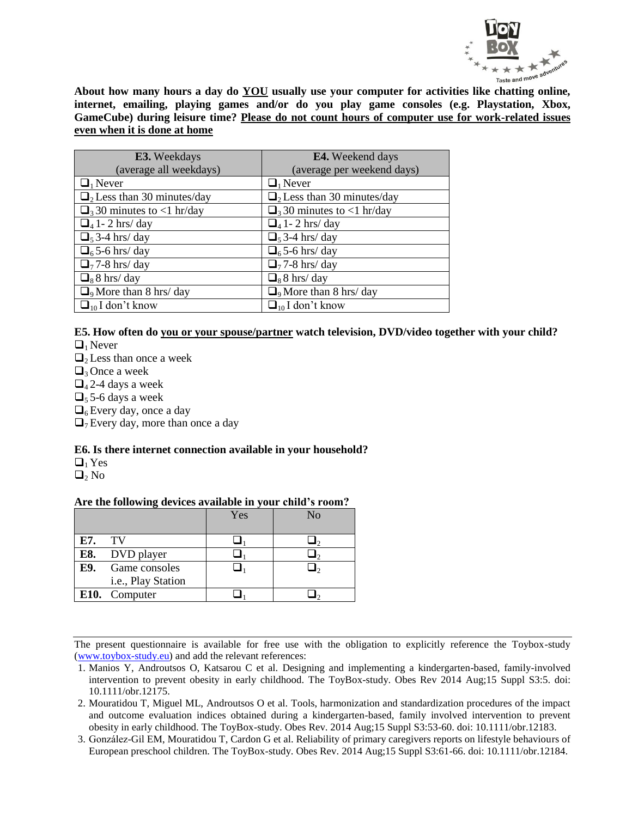

**About how many hours a day do YOU usually use your computer for activities like chatting online, internet, emailing, playing games and/or do you play game consoles (e.g. Playstation, Xbox, GameCube) during leisure time? Please do not count hours of computer use for work-related issues even when it is done at home**

| E3. Weekdays                                 | <b>E4.</b> Weekend days                      |
|----------------------------------------------|----------------------------------------------|
| (average all weekdays)                       | (average per weekend days)                   |
| $\Box_1$ Never                               | $\Box_1$ Never                               |
| $\Box$ <sub>2</sub> Less than 30 minutes/day | $\Box$ <sub>2</sub> Less than 30 minutes/day |
| $\Box$ <sub>3</sub> 30 minutes to <1 hr/day  | $\Box$ <sub>3</sub> 30 minutes to <1 hr/day  |
| $\Box$ 41 - 2 hrs/day                        | $\Box$ <sub>4</sub> 1 - 2 hrs/ day           |
| $\Box$ <sub>5</sub> 3-4 hrs/ day             | $\Box$ <sub>5</sub> 3-4 hrs/ day             |
| $\Box$ <sub>6</sub> 5-6 hrs/ day             | $\Box$ <sub>6</sub> 5-6 hrs/ day             |
| $\Box$ <sub>7</sub> 7-8 hrs/ day             | $\Box$ <sub>7</sub> 7-8 hrs/ day             |
| $\Box_8$ 8 hrs/day                           | $\Box_8$ 8 hrs/day                           |
| $\Box$ <sub>9</sub> More than 8 hrs/ day     | $\Box$ <sub>9</sub> More than 8 hrs/ day     |
| $\Box_{10}$ I don't know                     | $\Box_{10}$ I don't know                     |

### **E5. How often do you or your spouse/partner watch television, DVD/video together with your child?**

 $\Box_1$  Never

- $\Box$ <sub>2</sub> Less than once a week
- $\Box$ <sub>3</sub> Once a week
- $\Box$ <sub>4</sub> 2-4 days a week
- $\Box$ <sub>5</sub> 5-6 days a week
- $\Box$ <sub>6</sub> Every day, once a day
- $\Box$ <sub>7</sub> Every day, more than once a day

#### **E6. Is there internet connection available in your household?**

 $\Box_1$  Yes

 $\mathbf{Q}_2$  No

#### **Are the following devices available in your child's room?**

|     |                    | Yes | No |
|-----|--------------------|-----|----|
| E7. | <b>TV</b>          |     |    |
| E8. | DVD player         |     |    |
| E9. | Game consoles      |     |    |
|     | i.e., Play Station |     |    |
|     | E10. Computer      |     |    |

- 1. Manios Y, Androutsos O, Katsarou C et al. Designing and implementing a kindergarten-based, family-involved intervention to prevent obesity in early childhood. The ToyBox-study. Obes Rev 2014 Aug;15 Suppl S3:5. doi: 10.1111/obr.12175.
- 2. Mouratidou T, Miguel ML, Androutsos O et al. Tools, harmonization and standardization procedures of the impact and outcome evaluation indices obtained during a kindergarten-based, family involved intervention to prevent obesity in early childhood. The ToyBox-study. Obes Rev. 2014 Aug;15 Suppl S3:53-60. doi: 10.1111/obr.12183.
- 3. González-Gil EM, Mouratidou T, Cardon G et al. Reliability of primary caregivers reports on lifestyle behaviours of European preschool children. The ToyBox-study. Obes Rev. 2014 Aug;15 Suppl S3:61-66. doi: 10.1111/obr.12184.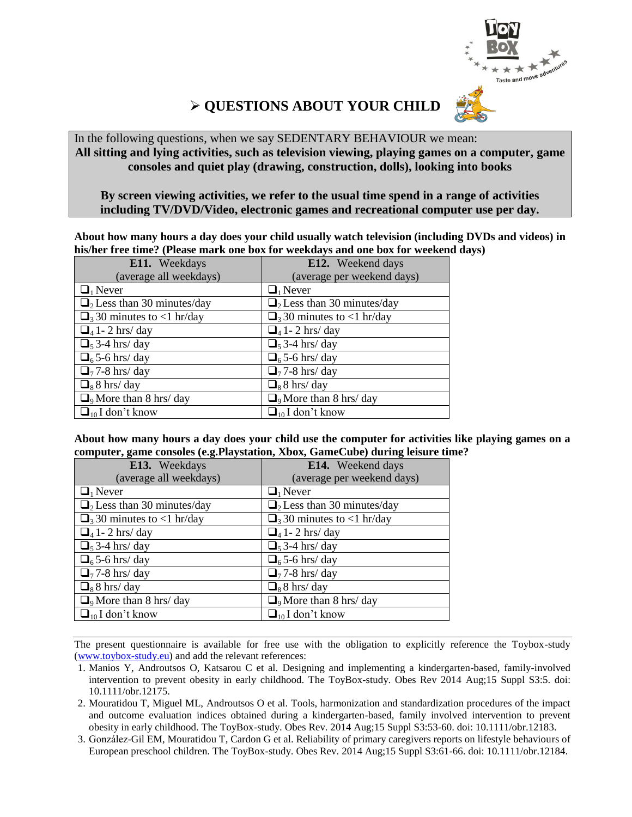

# **QUESTIONS ABOUT YOUR CHILD**

In the following questions, when we say SEDENTARY BEHAVIOUR we mean: **All sitting and lying activities, such as television viewing, playing games on a computer, game consoles and quiet play (drawing, construction, dolls), looking into books**

#### **By screen viewing activities, we refer to the usual time spend in a range of activities including TV/DVD/Video, electronic games and recreational computer use per day.**

**About how many hours a day does your child usually watch television (including DVDs and videos) in his/her free time? (Please mark one box for weekdays and one box for weekend days)**

| E11. Weekdays                                | E12. Weekend days                            |
|----------------------------------------------|----------------------------------------------|
| (average all weekdays)                       | (average per weekend days)                   |
| $\Box_1$ Never                               | $\Box_1$ Never                               |
| $\Box$ <sub>2</sub> Less than 30 minutes/day | $\Box$ <sub>2</sub> Less than 30 minutes/day |
| $\Box$ <sub>3</sub> 30 minutes to <1 hr/day  | $\Box$ <sub>3</sub> 30 minutes to <1 hr/day  |
| $\Box$ 41 - 2 hrs/day                        | $\Box$ 41 - 2 hrs/day                        |
| $\Box$ <sub>5</sub> 3-4 hrs/ day             | $\Box$ <sub>5</sub> 3-4 hrs/ day             |
| $\Box$ <sub>6</sub> 5-6 hrs/day              | $\Box$ <sub>6</sub> 5-6 hrs/ day             |
| $\Box$ <sub>7</sub> 7-8 hrs/day              | $\Box$ <sub>7</sub> 7-8 hrs/ day             |
| $\Box_8$ 8 hrs/day                           | $\Box_8$ 8 hrs/day                           |
| $\Box$ <sub>9</sub> More than 8 hrs/ day     | $\Box$ <sub>9</sub> More than 8 hrs/ day     |
| $\Box_{10}$ I don't know                     | $\Box_{10}$ I don't know                     |

**About how many hours a day does your child use the computer for activities like playing games on a computer, game consoles (e.g.Playstation, Xbox, GameCube) during leisure time?**

| E13. Weekdays                                | E14. Weekend days                            |  |  |  |  |  |
|----------------------------------------------|----------------------------------------------|--|--|--|--|--|
| (average all weekdays)                       | (average per weekend days)                   |  |  |  |  |  |
| $\Box_1$ Never                               | $\Box_1$ Never                               |  |  |  |  |  |
| $\Box$ <sub>2</sub> Less than 30 minutes/day | $\Box$ <sub>2</sub> Less than 30 minutes/day |  |  |  |  |  |
| $\Box$ <sub>3</sub> 30 minutes to <1 hr/day  | $\Box$ <sub>3</sub> 30 minutes to <1 hr/day  |  |  |  |  |  |
| $\Box$ 41 - 2 hrs/day                        | $\Box$ 41 - 2 hrs/day                        |  |  |  |  |  |
| $\Box$ <sub>5</sub> 3-4 hrs/ day             | $\Box$ <sub>5</sub> 3-4 hrs/ day             |  |  |  |  |  |
| $\Box$ <sub>6</sub> 5-6 hrs/ day             | $\Box$ <sub>6</sub> 5-6 hrs/day              |  |  |  |  |  |
| $\Box$ <sub>7</sub> 7-8 hrs/ day             | $\Box$ <sub>7</sub> 7-8 hrs/day              |  |  |  |  |  |
| $\Box$ <sub>8</sub> 8 hrs/ day               | $\Box_8$ 8 hrs/day                           |  |  |  |  |  |
| $\Box$ <sub>9</sub> More than 8 hrs/ day     | $\Box$ <sub>9</sub> More than 8 hrs/ day     |  |  |  |  |  |
| $\Box_{10}$ I don't know                     | $\Box_{10}$ I don't know                     |  |  |  |  |  |

- 1. Manios Y, Androutsos O, Katsarou C et al. Designing and implementing a kindergarten-based, family-involved intervention to prevent obesity in early childhood. The ToyBox-study. Obes Rev 2014 Aug;15 Suppl S3:5. doi: 10.1111/obr.12175.
- 2. Mouratidou T, Miguel ML, Androutsos O et al. Tools, harmonization and standardization procedures of the impact and outcome evaluation indices obtained during a kindergarten-based, family involved intervention to prevent obesity in early childhood. The ToyBox-study. Obes Rev. 2014 Aug;15 Suppl S3:53-60. doi: 10.1111/obr.12183.
- 3. González-Gil EM, Mouratidou T, Cardon G et al. Reliability of primary caregivers reports on lifestyle behaviours of European preschool children. The ToyBox-study. Obes Rev. 2014 Aug;15 Suppl S3:61-66. doi: 10.1111/obr.12184.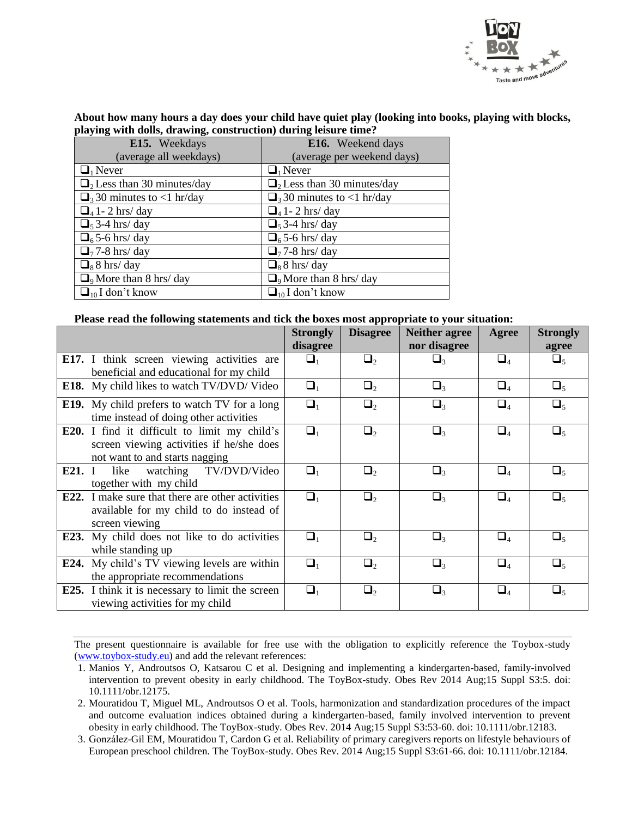

**About how many hours a day does your child have quiet play (looking into books, playing with blocks, playing with dolls, drawing, construction) during leisure time?**

| E15. Weekdays                                | E16. Weekend days                            |
|----------------------------------------------|----------------------------------------------|
| (average all weekdays)                       | (average per weekend days)                   |
| $\Box_1$ Never                               | $\Box_1$ Never                               |
| $\Box$ <sub>2</sub> Less than 30 minutes/day | $\Box$ <sub>2</sub> Less than 30 minutes/day |
| $\Box$ <sub>3</sub> 30 minutes to <1 hr/day  | $\Box$ <sub>3</sub> 30 minutes to <1 hr/day  |
| $\Box$ 41 - 2 hrs/day                        | $\Box$ <sub>4</sub> 1 - 2 hrs/ day           |
| $\Box$ <sub>5</sub> 3-4 hrs/ day             | $\Box$ <sub>5</sub> 3-4 hrs/ day             |
| $\Box$ <sub>6</sub> 5-6 hrs/day              | $\Box$ <sub>6</sub> 5-6 hrs/ day             |
| $\Box$ <sub>7</sub> 7-8 hrs/ day             | $\Box$ <sub>7</sub> 7-8 hrs/ day             |
| $\Box_8$ 8 hrs/day                           | $\Box_8$ 8 hrs/day                           |
| $\Box$ <sub>9</sub> More than 8 hrs/ day     | $\Box$ <sub>9</sub> More than 8 hrs/ day     |
| $\Box_{10}$ I don't know                     | $\Box_{10}$ I don't know                     |

#### **Please read the following statements and tick the boxes most appropriate to your situation:**

|      |                                                                                                                                   | <b>Strongly</b><br>disagree | <b>Disagree</b> | <b>Neither agree</b><br>nor disagree | Agree    | <b>Strongly</b><br>agree |
|------|-----------------------------------------------------------------------------------------------------------------------------------|-----------------------------|-----------------|--------------------------------------|----------|--------------------------|
|      | E17. I think screen viewing activities are<br>beneficial and educational for my child                                             | $\Box_1$                    | $\Box_2$        | $\Box_3$                             | $\Box_4$ | $\Box_{5}$               |
|      | <b>E18.</b> My child likes to watch TV/DVD/ Video                                                                                 | $\Box_1$                    | $\Box_2$        | $\Box_3$                             | $\Box_4$ | $\Box_5$                 |
|      | <b>E19.</b> My child prefers to watch TV for a long<br>time instead of doing other activities                                     | $\Box_1$                    | $\Box_2$        | $\Box_3$                             | $\Box_4$ | $\Box_5$                 |
|      | <b>E20.</b> I find it difficult to limit my child's<br>screen viewing activities if he/she does<br>not want to and starts nagging | $\Box_1$                    | $\Box_2$        | $\Box_3$                             | $\Box_4$ | $\Box_5$                 |
| E21. | watching TV/DVD/Video<br>like<br>together with my child                                                                           | $\Box_1$                    | $\Box_2$        | $\Box_3$                             | $\Box_4$ | $\Box_5$                 |
| E22. | I make sure that there are other activities<br>available for my child to do instead of<br>screen viewing                          | $\Box_1$                    | $\Box_2$        | $\Box_3$                             | $\Box_4$ | $\Box$                   |
| E23. | My child does not like to do activities<br>while standing up                                                                      | $\Box_1$                    | $\Box_2$        | $\Box_3$                             | $\Box_4$ | $\Box_5$                 |
| E24. | My child's TV viewing levels are within<br>the appropriate recommendations                                                        | $\Box_1$                    | $\Box_2$        | $\Box_3$                             | $\Box_4$ | $\Box_5$                 |
|      | <b>E25.</b> I think it is necessary to limit the screen<br>viewing activities for my child                                        | $\Box_1$                    | $\Box_2$        | $\Box_3$                             | $\Box_4$ | $\Box_5$                 |

<sup>1.</sup> Manios Y, Androutsos O, Katsarou C et al. Designing and implementing a kindergarten-based, family-involved intervention to prevent obesity in early childhood. The ToyBox-study. Obes Rev 2014 Aug;15 Suppl S3:5. doi: 10.1111/obr.12175.

<sup>2.</sup> Mouratidou T, Miguel ML, Androutsos O et al. Tools, harmonization and standardization procedures of the impact and outcome evaluation indices obtained during a kindergarten-based, family involved intervention to prevent obesity in early childhood. The ToyBox-study. Obes Rev. 2014 Aug;15 Suppl S3:53-60. doi: 10.1111/obr.12183.

<sup>3.</sup> González-Gil EM, Mouratidou T, Cardon G et al. Reliability of primary caregivers reports on lifestyle behaviours of European preschool children. The ToyBox-study. Obes Rev. 2014 Aug;15 Suppl S3:61-66. doi: 10.1111/obr.12184.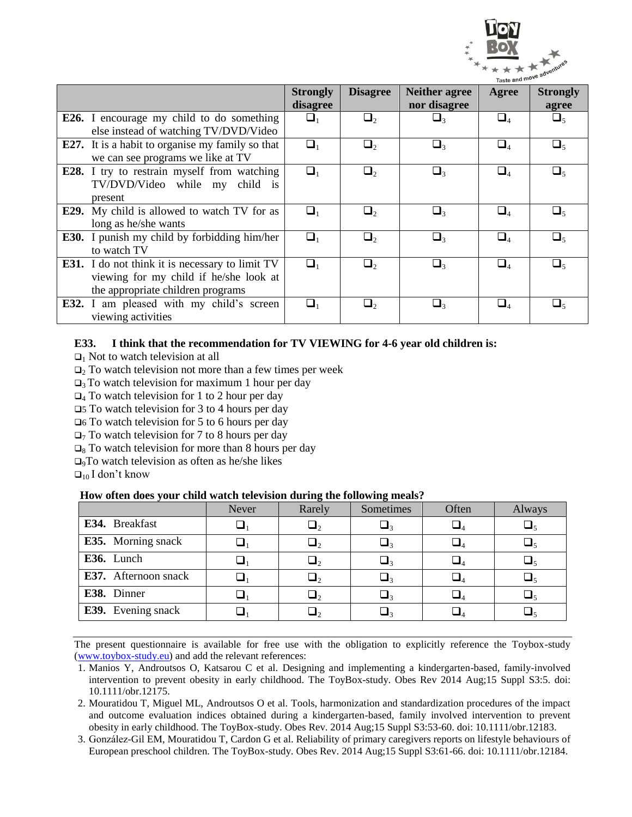

|                                                         | <b>Strongly</b> | <b>Disagree</b> | <b>Neither agree</b>                     | Agree                             | <b>Strongly</b> |
|---------------------------------------------------------|-----------------|-----------------|------------------------------------------|-----------------------------------|-----------------|
|                                                         | disagree        |                 | nor disagree                             |                                   | agree           |
| <b>E26.</b> I encourage my child to do something        | $\Box_1$        | $\Box$          | $\Box_3$                                 | $\Box_4$                          | $\Box$          |
| else instead of watching TV/DVD/Video                   |                 |                 |                                          |                                   |                 |
| <b>E27.</b> It is a habit to organise my family so that | $\Box_1$        | $\Box$          | $\Box$ <sub>3</sub>                      | $\square_{\scriptscriptstyle{A}}$ | $\Box$          |
| we can see programs we like at TV                       |                 |                 |                                          |                                   |                 |
| E28. I try to restrain myself from watching             | $\Box_1$        | $\Box_2$        | $\square_{\scriptscriptstyle\mathsf{3}}$ | $\square_4$                       | $\Box_5$        |
| TV/DVD/Video while my child is                          |                 |                 |                                          |                                   |                 |
| present                                                 |                 |                 |                                          |                                   |                 |
| <b>E29.</b> My child is allowed to watch TV for as      | $\Box_1$        | $\Box_2$        | $\Box_{\tiny{3}}$                        | $\Box_4$                          | $\Box_5$        |
| long as he/she wants                                    |                 |                 |                                          |                                   |                 |
| <b>E30.</b> I punish my child by forbidding him/her     | $\Box_1$        | $\Box_2$        | $\Box_{\tiny{3}}$                        | $\square_4$                       | $\Box_{5}$      |
| to watch TV                                             |                 |                 |                                          |                                   |                 |
| <b>E31.</b> I do not think it is necessary to limit TV  | $\Box_1$        | $\Box_2$        | $\Box$                                   | $\Box_4$                          | $\Box$          |
| viewing for my child if he/she look at                  |                 |                 |                                          |                                   |                 |
| the appropriate children programs                       |                 |                 |                                          |                                   |                 |
| <b>E32.</b> I am pleased with my child's screen         | $\Box_1$        | $\Box_2$        | $\Box$ 3                                 | $\Box_4$                          | $\Box_5$        |
| viewing activities                                      |                 |                 |                                          |                                   |                 |

#### **E33. I think that the recommendation for TV VIEWING for 4-6 year old children is:**

 $\Box$ <sub>1</sub> Not to watch television at all

 $\Box$ <sub>2</sub> To watch television not more than a few times per week

 $\Box$ <sub>3</sub> To watch television for maximum 1 hour per day

 $\Box$ <sub>4</sub> To watch television for 1 to 2 hour per day

5 To watch television for 3 to 4 hours per day

 $\Box$ 6 To watch television for 5 to 6 hours per day

 $\Box$ <sub>7</sub> To watch television for 7 to 8 hours per day

 $\Box_8$  To watch television for more than 8 hours per day

 $\Box$ <sub>9</sub>To watch television as often as he/she likes

 $\Box_{10}$  I don't know

#### **How often does your child watch television during the following meals?**

|                           | Never | Rarely       | ----- ---<br>Sometimes<br>Often |                                  | Always |
|---------------------------|-------|--------------|---------------------------------|----------------------------------|--------|
| E34. Breakfast            |       | $\sqcup_2$   |                                 |                                  |        |
| <b>E35.</b> Morning snack |       | $\sqcup_2$   |                                 |                                  |        |
| E36. Lunch                |       | $\sqcup_{2}$ |                                 | $\sqcup_{\scriptscriptstyle{A}}$ |        |
| E37. Afternoon snack      |       | $\sqcup_2$   |                                 |                                  |        |
| E38. Dinner               |       | $\sqcup_2$   |                                 |                                  |        |
| <b>E39.</b> Evening snack |       |              |                                 |                                  |        |

The present questionnaire is available for free use with the obligation to explicitly reference the Toybox-study (www.toybox-study.eu) and add the relevant references:

1. Manios Y, Androutsos O, Katsarou C et al. Designing and implementing a kindergarten-based, family-involved intervention to prevent obesity in early childhood. The ToyBox-study. Obes Rev 2014 Aug;15 Suppl S3:5. doi: 10.1111/obr.12175.

2. Mouratidou T, Miguel ML, Androutsos O et al. Tools, harmonization and standardization procedures of the impact and outcome evaluation indices obtained during a kindergarten-based, family involved intervention to prevent obesity in early childhood. The ToyBox-study. Obes Rev. 2014 Aug;15 Suppl S3:53-60. doi: 10.1111/obr.12183.

3. González-Gil EM, Mouratidou T, Cardon G et al. Reliability of primary caregivers reports on lifestyle behaviours of European preschool children. The ToyBox-study. Obes Rev. 2014 Aug;15 Suppl S3:61-66. doi: 10.1111/obr.12184.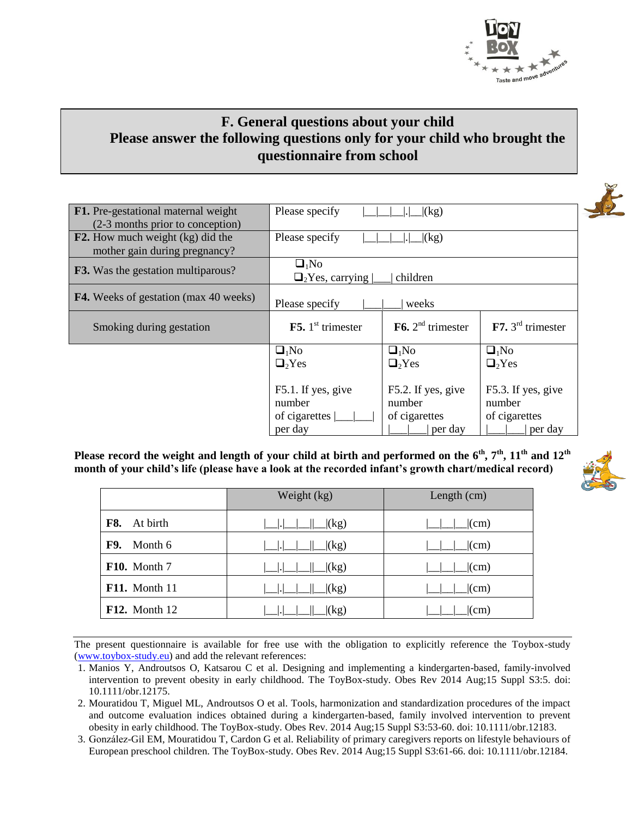

### **F. General questions about your child Please answer the following questions only for your child who brought the questionnaire from school**

| <b>F1.</b> Pre-gestational maternal weight<br>(2-3 months prior to conception) | Please specify                                    | $\lfloor$ (kg)                        |                         |  |  |  |  |
|--------------------------------------------------------------------------------|---------------------------------------------------|---------------------------------------|-------------------------|--|--|--|--|
| <b>F2.</b> How much weight (kg) did the<br>mother gain during pregnancy?       | Please specify                                    | $\lfloor$ (kg)                        |                         |  |  |  |  |
| <b>F3.</b> Was the gestation multiparous?                                      | $\Box_1$ No<br>$\Box_2$ Yes, carrying<br>children |                                       |                         |  |  |  |  |
| <b>F4.</b> Weeks of gestation (max 40 weeks)                                   | Please specify                                    | weeks                                 |                         |  |  |  |  |
| Smoking during gestation                                                       | <b>F5.</b> $1st$ trimester                        | $\mathbf{F6.}2^{\text{nd}}$ trimester | $F7.3rd$ trimester      |  |  |  |  |
|                                                                                | $\Box_1$ No                                       | $\Box_1$ No                           | $\Box_1$ No             |  |  |  |  |
|                                                                                | $\Box_2$ Yes                                      | $\Box$ <sub>2</sub> Yes               | $\Box$ <sub>2</sub> Yes |  |  |  |  |
|                                                                                |                                                   |                                       |                         |  |  |  |  |
|                                                                                | F5.1. If yes, give                                | F5.2. If yes, give                    | F5.3. If yes, give      |  |  |  |  |
|                                                                                | number                                            | number                                | number                  |  |  |  |  |
|                                                                                | of cigarettes                                     | of cigarettes                         | of cigarettes           |  |  |  |  |
|                                                                                | per day                                           | per day                               | per day                 |  |  |  |  |

**Please record the weight and length of your child at birth and performed on the 6th, 7th , 11th and 12th month of your child's life (please have a look at the recorded infant's growth chart/medical record)** 

|                      | Weight (kg)                                                           | Length (cm)    |
|----------------------|-----------------------------------------------------------------------|----------------|
| F8. At birth         |                                                                       | $\vert$ (cm)   |
| F9.<br>Month 6       | $\lfloor \lfloor kg \rfloor \rfloor$<br>$\Box$ . $\Box$ $\Box$ $\Box$ | $\lfloor$ (cm) |
| F10. Month 7         | $  $ $  $ $(kg)$<br> .                                                | $\lfloor$ (cm) |
| <b>F11.</b> Month 11 | (x)                                                                   | $\vert$ (cm)   |
| <b>F12.</b> Month 12 | $\lfloor$ (kg)                                                        | $\vert$ (cm)   |

- 1. Manios Y, Androutsos O, Katsarou C et al. Designing and implementing a kindergarten-based, family-involved intervention to prevent obesity in early childhood. The ToyBox-study. Obes Rev 2014 Aug;15 Suppl S3:5. doi: 10.1111/obr.12175.
- 2. Mouratidou T, Miguel ML, Androutsos O et al. Tools, harmonization and standardization procedures of the impact and outcome evaluation indices obtained during a kindergarten-based, family involved intervention to prevent obesity in early childhood. The ToyBox-study. Obes Rev. 2014 Aug;15 Suppl S3:53-60. doi: 10.1111/obr.12183.
- 3. González-Gil EM, Mouratidou T, Cardon G et al. Reliability of primary caregivers reports on lifestyle behaviours of European preschool children. The ToyBox-study. Obes Rev. 2014 Aug;15 Suppl S3:61-66. doi: 10.1111/obr.12184.